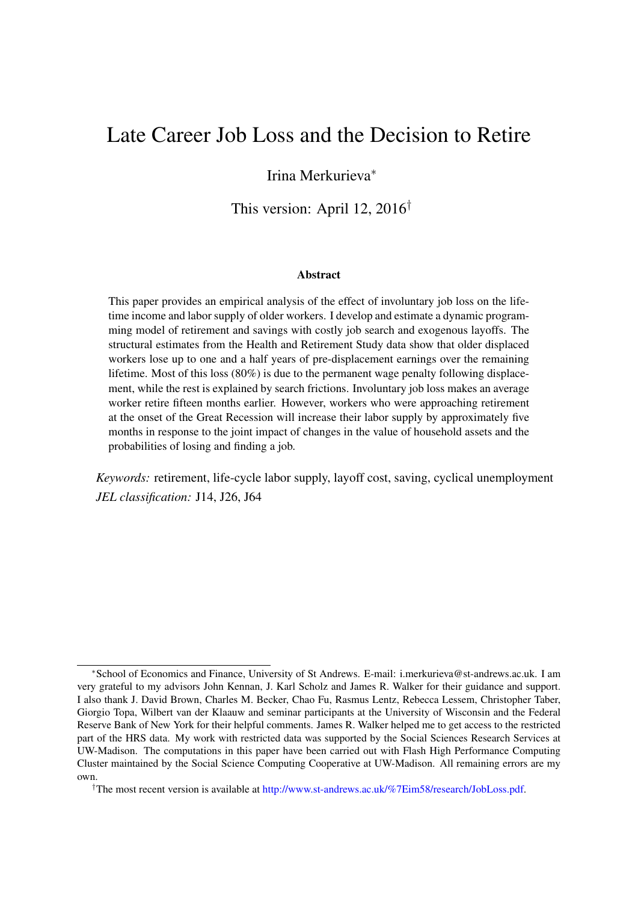# Late Career Job Loss and the Decision to Retire

## Irina Merkurieva<sup>∗</sup>

This version: April 12, 2016†

#### Abstract

This paper provides an empirical analysis of the effect of involuntary job loss on the lifetime income and labor supply of older workers. I develop and estimate a dynamic programming model of retirement and savings with costly job search and exogenous layoffs. The structural estimates from the Health and Retirement Study data show that older displaced workers lose up to one and a half years of pre-displacement earnings over the remaining lifetime. Most of this loss (80%) is due to the permanent wage penalty following displacement, while the rest is explained by search frictions. Involuntary job loss makes an average worker retire fifteen months earlier. However, workers who were approaching retirement at the onset of the Great Recession will increase their labor supply by approximately five months in response to the joint impact of changes in the value of household assets and the probabilities of losing and finding a job.

*Keywords:* retirement, life-cycle labor supply, layoff cost, saving, cyclical unemployment *JEL classification:* J14, J26, J64

<sup>∗</sup>School of Economics and Finance, University of St Andrews. E-mail: i.merkurieva@st-andrews.ac.uk. I am very grateful to my advisors John Kennan, J. Karl Scholz and James R. Walker for their guidance and support. I also thank J. David Brown, Charles M. Becker, Chao Fu, Rasmus Lentz, Rebecca Lessem, Christopher Taber, Giorgio Topa, Wilbert van der Klaauw and seminar participants at the University of Wisconsin and the Federal Reserve Bank of New York for their helpful comments. James R. Walker helped me to get access to the restricted part of the HRS data. My work with restricted data was supported by the Social Sciences Research Services at UW-Madison. The computations in this paper have been carried out with Flash High Performance Computing Cluster maintained by the Social Science Computing Cooperative at UW-Madison. All remaining errors are my own.

<sup>†</sup>The most recent version is available at [http://www.st-andrews.ac.uk/%7Eim58/research/JobLoss.pdf.](http://www.st-andrews.ac.uk/%7im58/research/JobLoss.pdf)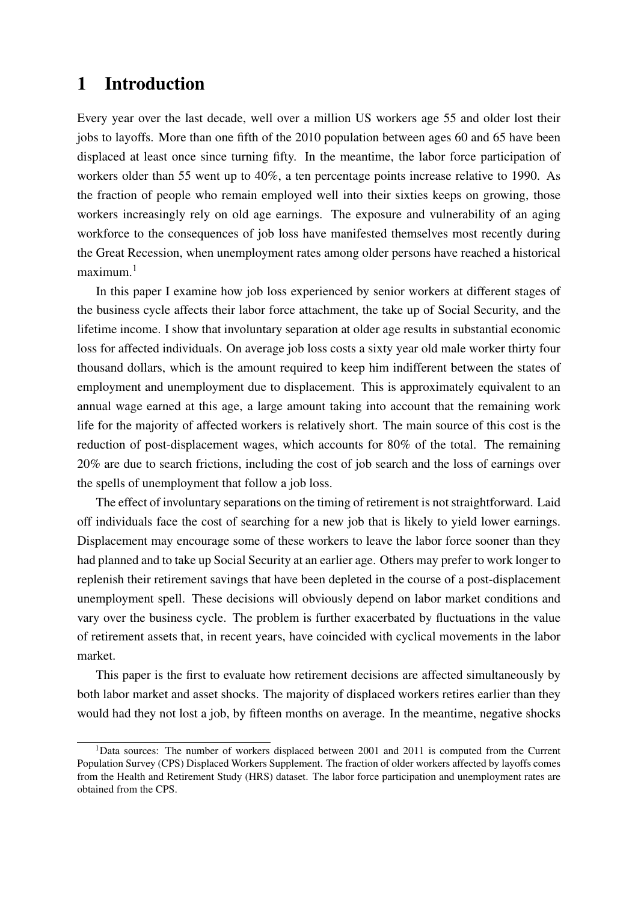## 1 Introduction

Every year over the last decade, well over a million US workers age 55 and older lost their jobs to layoffs. More than one fifth of the 2010 population between ages 60 and 65 have been displaced at least once since turning fifty. In the meantime, the labor force participation of workers older than 55 went up to 40%, a ten percentage points increase relative to 1990. As the fraction of people who remain employed well into their sixties keeps on growing, those workers increasingly rely on old age earnings. The exposure and vulnerability of an aging workforce to the consequences of job loss have manifested themselves most recently during the Great Recession, when unemployment rates among older persons have reached a historical maximum.<sup>[1](#page-1-0)</sup>

In this paper I examine how job loss experienced by senior workers at different stages of the business cycle affects their labor force attachment, the take up of Social Security, and the lifetime income. I show that involuntary separation at older age results in substantial economic loss for affected individuals. On average job loss costs a sixty year old male worker thirty four thousand dollars, which is the amount required to keep him indifferent between the states of employment and unemployment due to displacement. This is approximately equivalent to an annual wage earned at this age, a large amount taking into account that the remaining work life for the majority of affected workers is relatively short. The main source of this cost is the reduction of post-displacement wages, which accounts for 80% of the total. The remaining 20% are due to search frictions, including the cost of job search and the loss of earnings over the spells of unemployment that follow a job loss.

The effect of involuntary separations on the timing of retirement is not straightforward. Laid off individuals face the cost of searching for a new job that is likely to yield lower earnings. Displacement may encourage some of these workers to leave the labor force sooner than they had planned and to take up Social Security at an earlier age. Others may prefer to work longer to replenish their retirement savings that have been depleted in the course of a post-displacement unemployment spell. These decisions will obviously depend on labor market conditions and vary over the business cycle. The problem is further exacerbated by fluctuations in the value of retirement assets that, in recent years, have coincided with cyclical movements in the labor market.

This paper is the first to evaluate how retirement decisions are affected simultaneously by both labor market and asset shocks. The majority of displaced workers retires earlier than they would had they not lost a job, by fifteen months on average. In the meantime, negative shocks

<span id="page-1-0"></span><sup>&</sup>lt;sup>1</sup>Data sources: The number of workers displaced between 2001 and 2011 is computed from the Current Population Survey (CPS) Displaced Workers Supplement. The fraction of older workers affected by layoffs comes from the Health and Retirement Study (HRS) dataset. The labor force participation and unemployment rates are obtained from the CPS.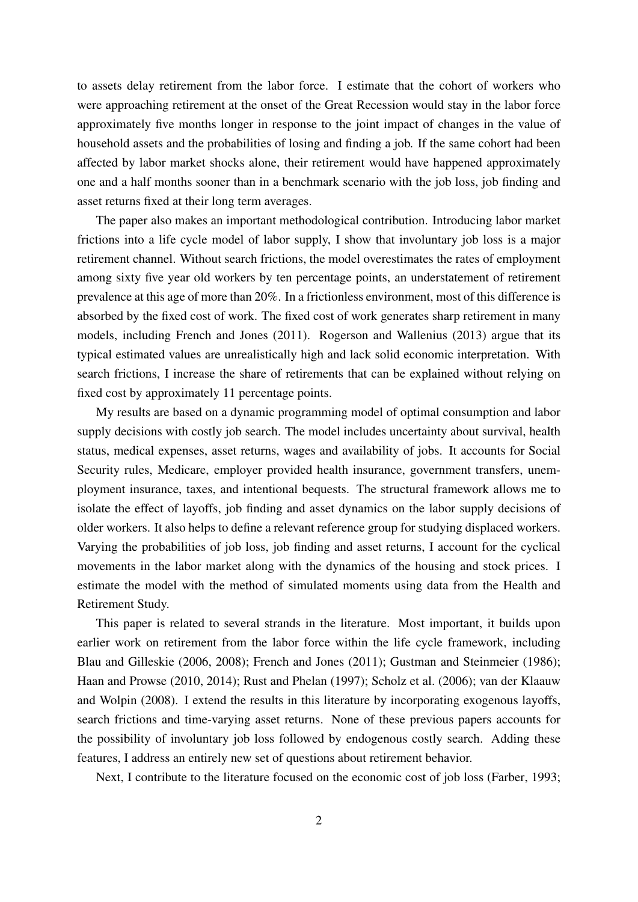to assets delay retirement from the labor force. I estimate that the cohort of workers who were approaching retirement at the onset of the Great Recession would stay in the labor force approximately five months longer in response to the joint impact of changes in the value of household assets and the probabilities of losing and finding a job. If the same cohort had been affected by labor market shocks alone, their retirement would have happened approximately one and a half months sooner than in a benchmark scenario with the job loss, job finding and asset returns fixed at their long term averages.

The paper also makes an important methodological contribution. Introducing labor market frictions into a life cycle model of labor supply, I show that involuntary job loss is a major retirement channel. Without search frictions, the model overestimates the rates of employment among sixty five year old workers by ten percentage points, an understatement of retirement prevalence at this age of more than 20%. In a frictionless environment, most of this difference is absorbed by the fixed cost of work. The fixed cost of work generates sharp retirement in many models, including [French and Jones](#page-33-0) [\(2011\)](#page-33-0). [Rogerson and Wallenius](#page-34-0) [\(2013\)](#page-34-0) argue that its typical estimated values are unrealistically high and lack solid economic interpretation. With search frictions, I increase the share of retirements that can be explained without relying on fixed cost by approximately 11 percentage points.

My results are based on a dynamic programming model of optimal consumption and labor supply decisions with costly job search. The model includes uncertainty about survival, health status, medical expenses, asset returns, wages and availability of jobs. It accounts for Social Security rules, Medicare, employer provided health insurance, government transfers, unemployment insurance, taxes, and intentional bequests. The structural framework allows me to isolate the effect of layoffs, job finding and asset dynamics on the labor supply decisions of older workers. It also helps to define a relevant reference group for studying displaced workers. Varying the probabilities of job loss, job finding and asset returns, I account for the cyclical movements in the labor market along with the dynamics of the housing and stock prices. I estimate the model with the method of simulated moments using data from the Health and Retirement Study.

This paper is related to several strands in the literature. Most important, it builds upon earlier work on retirement from the labor force within the life cycle framework, including [Blau and Gilleskie](#page-32-0) [\(2006,](#page-32-0) [2008\)](#page-32-1); [French and Jones](#page-33-0) [\(2011\)](#page-33-0); [Gustman and Steinmeier](#page-33-1) [\(1986\)](#page-33-1); [Haan and Prowse](#page-33-2) [\(2010,](#page-33-2) [2014\)](#page-33-3); [Rust and Phelan](#page-34-1) [\(1997\)](#page-34-1); [Scholz et al.](#page-34-2) [\(2006\)](#page-34-2); [van der Klaauw](#page-35-0) [and Wolpin](#page-35-0) [\(2008\)](#page-35-0). I extend the results in this literature by incorporating exogenous layoffs, search frictions and time-varying asset returns. None of these previous papers accounts for the possibility of involuntary job loss followed by endogenous costly search. Adding these features, I address an entirely new set of questions about retirement behavior.

Next, I contribute to the literature focused on the economic cost of job loss [\(Farber, 1993;](#page-33-4)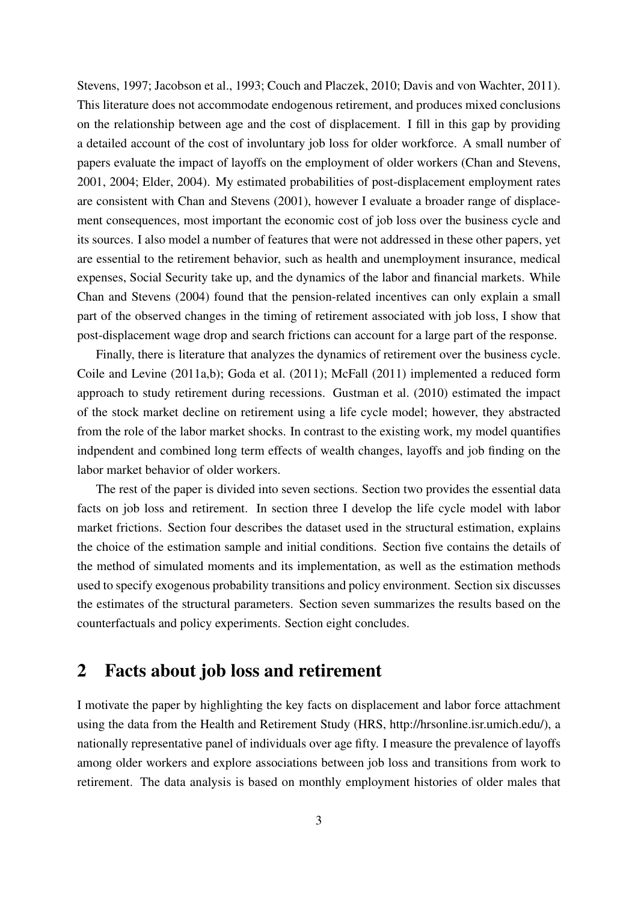[Stevens, 1997;](#page-35-1) [Jacobson et al., 1993;](#page-34-3) [Couch and Placzek, 2010;](#page-32-2) [Davis and von Wachter, 2011\)](#page-32-3). This literature does not accommodate endogenous retirement, and produces mixed conclusions on the relationship between age and the cost of displacement. I fill in this gap by providing a detailed account of the cost of involuntary job loss for older workforce. A small number of papers evaluate the impact of layoffs on the employment of older workers [\(Chan and Stevens,](#page-32-4) [2001,](#page-32-4) [2004;](#page-32-5) [Elder, 2004\)](#page-33-5). My estimated probabilities of post-displacement employment rates are consistent with [Chan and Stevens](#page-32-4) [\(2001\)](#page-32-4), however I evaluate a broader range of displacement consequences, most important the economic cost of job loss over the business cycle and its sources. I also model a number of features that were not addressed in these other papers, yet are essential to the retirement behavior, such as health and unemployment insurance, medical expenses, Social Security take up, and the dynamics of the labor and financial markets. While [Chan and Stevens](#page-32-5) [\(2004\)](#page-32-5) found that the pension-related incentives can only explain a small part of the observed changes in the timing of retirement associated with job loss, I show that post-displacement wage drop and search frictions can account for a large part of the response.

Finally, there is literature that analyzes the dynamics of retirement over the business cycle. [Coile and Levine](#page-32-6) [\(2011a,](#page-32-6)[b\)](#page-32-7); [Goda et al.](#page-33-6) [\(2011\)](#page-33-6); [McFall](#page-34-4) [\(2011\)](#page-34-4) implemented a reduced form approach to study retirement during recessions. [Gustman et al.](#page-33-7) [\(2010\)](#page-33-7) estimated the impact of the stock market decline on retirement using a life cycle model; however, they abstracted from the role of the labor market shocks. In contrast to the existing work, my model quantifies indpendent and combined long term effects of wealth changes, layoffs and job finding on the labor market behavior of older workers.

The rest of the paper is divided into seven sections. Section two provides the essential data facts on job loss and retirement. In section three I develop the life cycle model with labor market frictions. Section four describes the dataset used in the structural estimation, explains the choice of the estimation sample and initial conditions. Section five contains the details of the method of simulated moments and its implementation, as well as the estimation methods used to specify exogenous probability transitions and policy environment. Section six discusses the estimates of the structural parameters. Section seven summarizes the results based on the counterfactuals and policy experiments. Section eight concludes.

## <span id="page-3-0"></span>2 Facts about job loss and retirement

I motivate the paper by highlighting the key facts on displacement and labor force attachment using the data from the Health and Retirement Study (HRS, [http://hrsonline.isr.umich.edu/\)](http://hrsonline.isr.umich.edu/), a nationally representative panel of individuals over age fifty. I measure the prevalence of layoffs among older workers and explore associations between job loss and transitions from work to retirement. The data analysis is based on monthly employment histories of older males that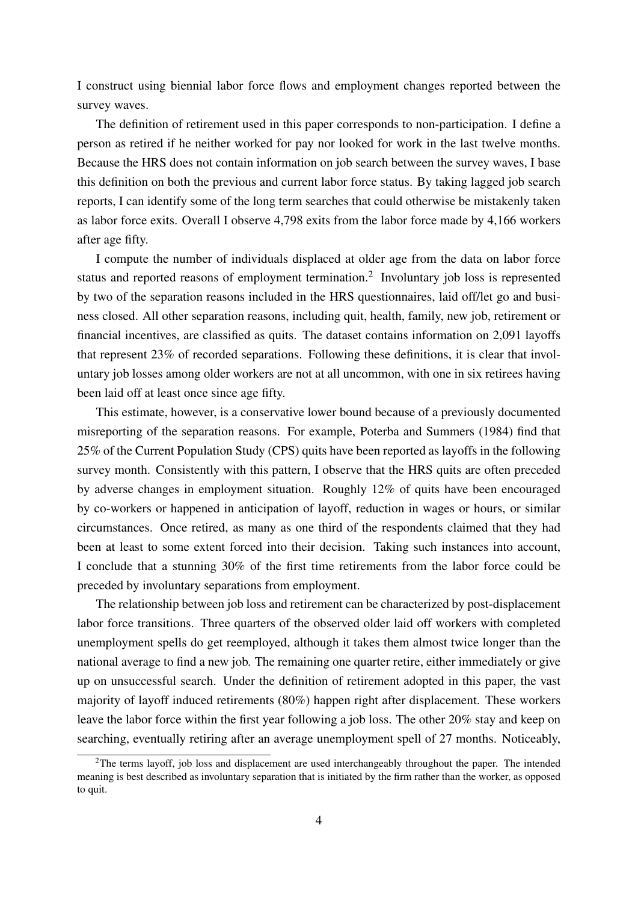I construct using biennial labor force flows and employment changes reported between the survey waves.

The definition of retirement used in this paper corresponds to non-participation. I define a person as retired if he neither worked for pay nor looked for work in the last twelve months. Because the HRS does not contain information on job search between the survey waves, I base this definition on both the previous and current labor force status. By taking lagged job search reports, I can identify some of the long term searches that could otherwise be mistakenly taken as labor force exits. Overall I observe 4,798 exits from the labor force made by 4,166 workers after age fifty.

I compute the number of individuals displaced at older age from the data on labor force status and reported reasons of employment termination.<sup>[2](#page-4-0)</sup> Involuntary job loss is represented by two of the separation reasons included in the HRS questionnaires, laid off/let go and business closed. All other separation reasons, including quit, health, family, new job, retirement or financial incentives, are classified as quits. The dataset contains information on 2,091 layoffs that represent 23% of recorded separations. Following these definitions, it is clear that involuntary job losses among older workers are not at all uncommon, with one in six retirees having been laid off at least once since age fifty.

This estimate, however, is a conservative lower bound because of a previously documented misreporting of the separation reasons. For example, [Poterba and Summers](#page-34-5) [\(1984\)](#page-34-5) find that 25% of the Current Population Study (CPS) quits have been reported as layoffs in the following survey month. Consistently with this pattern, I observe that the HRS quits are often preceded by adverse changes in employment situation. Roughly 12% of quits have been encouraged by co-workers or happened in anticipation of layoff, reduction in wages or hours, or similar circumstances. Once retired, as many as one third of the respondents claimed that they had been at least to some extent forced into their decision. Taking such instances into account, I conclude that a stunning 30% of the first time retirements from the labor force could be preceded by involuntary separations from employment.

The relationship between job loss and retirement can be characterized by post-displacement labor force transitions. Three quarters of the observed older laid off workers with completed unemployment spells do get reemployed, although it takes them almost twice longer than the national average to find a new job. The remaining one quarter retire, either immediately or give up on unsuccessful search. Under the definition of retirement adopted in this paper, the vast majority of layoff induced retirements (80%) happen right after displacement. These workers leave the labor force within the first year following a job loss. The other 20% stay and keep on searching, eventually retiring after an average unemployment spell of 27 months. Noticeably,

<span id="page-4-0"></span> $2$ The terms layoff, job loss and displacement are used interchangeably throughout the paper. The intended meaning is best described as involuntary separation that is initiated by the firm rather than the worker, as opposed to quit.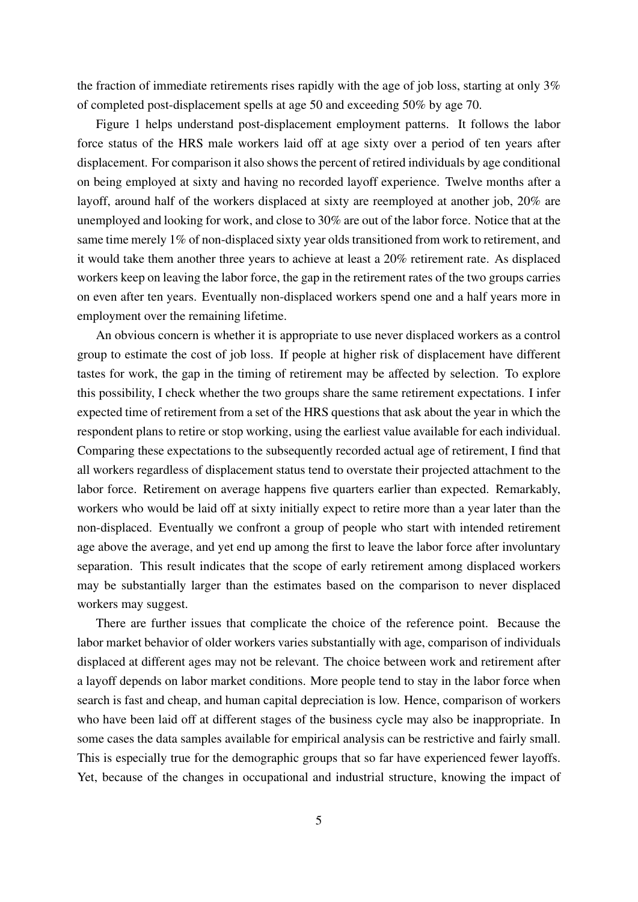the fraction of immediate retirements rises rapidly with the age of job loss, starting at only 3% of completed post-displacement spells at age 50 and exceeding 50% by age 70.

Figure [1](#page-36-0) helps understand post-displacement employment patterns. It follows the labor force status of the HRS male workers laid off at age sixty over a period of ten years after displacement. For comparison it also shows the percent of retired individuals by age conditional on being employed at sixty and having no recorded layoff experience. Twelve months after a layoff, around half of the workers displaced at sixty are reemployed at another job, 20% are unemployed and looking for work, and close to 30% are out of the labor force. Notice that at the same time merely 1% of non-displaced sixty year olds transitioned from work to retirement, and it would take them another three years to achieve at least a 20% retirement rate. As displaced workers keep on leaving the labor force, the gap in the retirement rates of the two groups carries on even after ten years. Eventually non-displaced workers spend one and a half years more in employment over the remaining lifetime.

An obvious concern is whether it is appropriate to use never displaced workers as a control group to estimate the cost of job loss. If people at higher risk of displacement have different tastes for work, the gap in the timing of retirement may be affected by selection. To explore this possibility, I check whether the two groups share the same retirement expectations. I infer expected time of retirement from a set of the HRS questions that ask about the year in which the respondent plans to retire or stop working, using the earliest value available for each individual. Comparing these expectations to the subsequently recorded actual age of retirement, I find that all workers regardless of displacement status tend to overstate their projected attachment to the labor force. Retirement on average happens five quarters earlier than expected. Remarkably, workers who would be laid off at sixty initially expect to retire more than a year later than the non-displaced. Eventually we confront a group of people who start with intended retirement age above the average, and yet end up among the first to leave the labor force after involuntary separation. This result indicates that the scope of early retirement among displaced workers may be substantially larger than the estimates based on the comparison to never displaced workers may suggest.

There are further issues that complicate the choice of the reference point. Because the labor market behavior of older workers varies substantially with age, comparison of individuals displaced at different ages may not be relevant. The choice between work and retirement after a layoff depends on labor market conditions. More people tend to stay in the labor force when search is fast and cheap, and human capital depreciation is low. Hence, comparison of workers who have been laid off at different stages of the business cycle may also be inappropriate. In some cases the data samples available for empirical analysis can be restrictive and fairly small. This is especially true for the demographic groups that so far have experienced fewer layoffs. Yet, because of the changes in occupational and industrial structure, knowing the impact of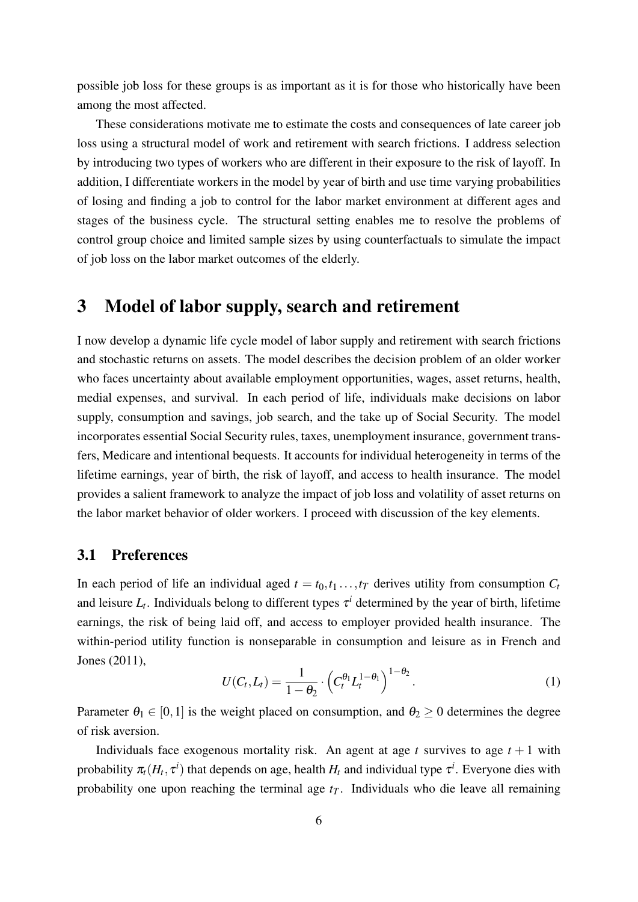possible job loss for these groups is as important as it is for those who historically have been among the most affected.

These considerations motivate me to estimate the costs and consequences of late career job loss using a structural model of work and retirement with search frictions. I address selection by introducing two types of workers who are different in their exposure to the risk of layoff. In addition, I differentiate workers in the model by year of birth and use time varying probabilities of losing and finding a job to control for the labor market environment at different ages and stages of the business cycle. The structural setting enables me to resolve the problems of control group choice and limited sample sizes by using counterfactuals to simulate the impact of job loss on the labor market outcomes of the elderly.

# 3 Model of labor supply, search and retirement

I now develop a dynamic life cycle model of labor supply and retirement with search frictions and stochastic returns on assets. The model describes the decision problem of an older worker who faces uncertainty about available employment opportunities, wages, asset returns, health, medial expenses, and survival. In each period of life, individuals make decisions on labor supply, consumption and savings, job search, and the take up of Social Security. The model incorporates essential Social Security rules, taxes, unemployment insurance, government transfers, Medicare and intentional bequests. It accounts for individual heterogeneity in terms of the lifetime earnings, year of birth, the risk of layoff, and access to health insurance. The model provides a salient framework to analyze the impact of job loss and volatility of asset returns on the labor market behavior of older workers. I proceed with discussion of the key elements.

## 3.1 Preferences

In each period of life an individual aged  $t = t_0, t_1, \ldots, t_T$  derives utility from consumption  $C_t$ and leisure  $L_t$ . Individuals belong to different types  $\tau^i$  determined by the year of birth, lifetime earnings, the risk of being laid off, and access to employer provided health insurance. The within-period utility function is nonseparable in consumption and leisure as in [French and](#page-33-0) [Jones](#page-33-0) [\(2011\)](#page-33-0),

$$
U(C_t, L_t) = \frac{1}{1 - \theta_2} \cdot \left( C_t^{\theta_1} L_t^{1 - \theta_1} \right)^{1 - \theta_2}.
$$
 (1)

Parameter  $\theta_1 \in [0,1]$  is the weight placed on consumption, and  $\theta_2 \ge 0$  determines the degree of risk aversion.

Individuals face exogenous mortality risk. An agent at age  $t$  survives to age  $t + 1$  with probability  $\pi_t(H_t, \tau^i)$  that depends on age, health  $H_t$  and individual type  $\tau^i$ . Everyone dies with probability one upon reaching the terminal age  $t_T$ . Individuals who die leave all remaining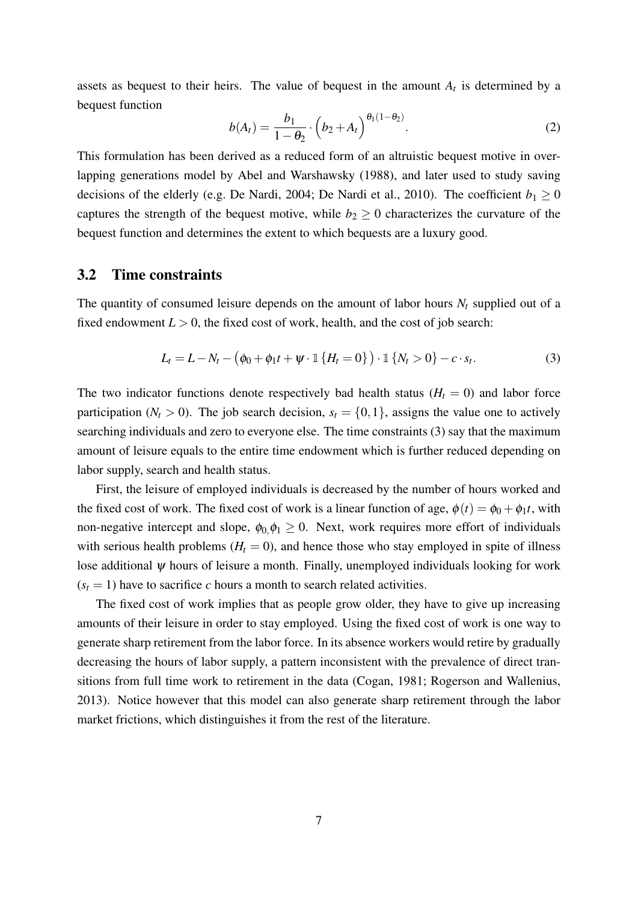assets as bequest to their heirs. The value of bequest in the amount  $A_t$  is determined by a bequest function

$$
b(A_t) = \frac{b_1}{1 - \theta_2} \cdot \left(b_2 + A_t\right)^{\theta_1(1 - \theta_2)}.
$$
 (2)

This formulation has been derived as a reduced form of an altruistic bequest motive in overlapping generations model by [Abel and Warshawsky](#page-32-8) [\(1988\)](#page-32-8), and later used to study saving decisions of the elderly (e.g. [De Nardi, 2004;](#page-33-8) [De Nardi et al., 2010\)](#page-33-9). The coefficient  $b_1 \ge 0$ captures the strength of the bequest motive, while  $b_2 \geq 0$  characterizes the curvature of the bequest function and determines the extent to which bequests are a luxury good.

#### 3.2 Time constraints

The quantity of consumed leisure depends on the amount of labor hours  $N_t$  supplied out of a fixed endowment  $L > 0$ , the fixed cost of work, health, and the cost of job search:

<span id="page-7-0"></span>
$$
L_t = L - N_t - (\phi_0 + \phi_1 t + \psi \cdot \mathbb{1} \{ H_t = 0 \}) \cdot \mathbb{1} \{ N_t > 0 \} - c \cdot s_t.
$$
 (3)

The two indicator functions denote respectively bad health status  $(H_t = 0)$  and labor force participation ( $N_t > 0$ ). The job search decision,  $s_t = \{0, 1\}$ , assigns the value one to actively searching individuals and zero to everyone else. The time constraints [\(3\)](#page-7-0) say that the maximum amount of leisure equals to the entire time endowment which is further reduced depending on labor supply, search and health status.

First, the leisure of employed individuals is decreased by the number of hours worked and the fixed cost of work. The fixed cost of work is a linear function of age,  $\phi(t) = \phi_0 + \phi_1 t$ , with non-negative intercept and slope,  $\phi_0, \phi_1 \ge 0$ . Next, work requires more effort of individuals with serious health problems  $(H_t = 0)$ , and hence those who stay employed in spite of illness lose additional  $\psi$  hours of leisure a month. Finally, unemployed individuals looking for work  $(s_t = 1)$  have to sacrifice *c* hours a month to search related activities.

The fixed cost of work implies that as people grow older, they have to give up increasing amounts of their leisure in order to stay employed. Using the fixed cost of work is one way to generate sharp retirement from the labor force. In its absence workers would retire by gradually decreasing the hours of labor supply, a pattern inconsistent with the prevalence of direct transitions from full time work to retirement in the data [\(Cogan, 1981;](#page-32-9) [Rogerson and Wallenius,](#page-34-0) [2013\)](#page-34-0). Notice however that this model can also generate sharp retirement through the labor market frictions, which distinguishes it from the rest of the literature.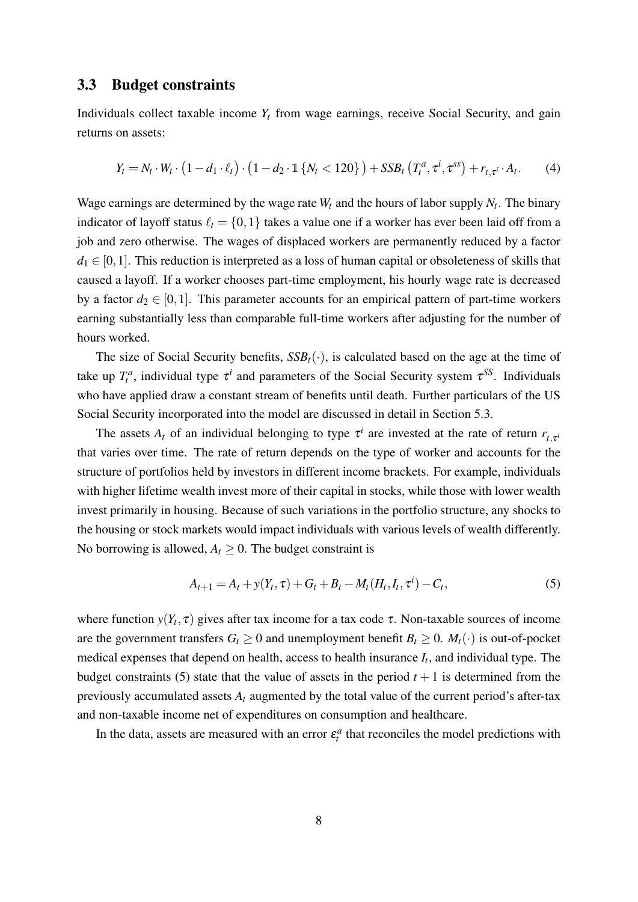## 3.3 Budget constraints

Individuals collect taxable income *Y<sup>t</sup>* from wage earnings, receive Social Security, and gain returns on assets:

$$
Y_t = N_t \cdot W_t \cdot (1 - d_1 \cdot \ell_t) \cdot (1 - d_2 \cdot \mathbb{1} \{ N_t < 120 \}) + SSB_t \left( T_t^a, \tau^i, \tau^{ss} \right) + r_{t, \tau^i} \cdot A_t. \tag{4}
$$

Wage earnings are determined by the wage rate  $W_t$  and the hours of labor supply  $N_t$ . The binary indicator of layoff status  $\ell_t = \{0, 1\}$  takes a value one if a worker has ever been laid off from a job and zero otherwise. The wages of displaced workers are permanently reduced by a factor  $d_1 \in [0,1]$ . This reduction is interpreted as a loss of human capital or obsoleteness of skills that caused a layoff. If a worker chooses part-time employment, his hourly wage rate is decreased by a factor  $d_2 \in [0,1]$ . This parameter accounts for an empirical pattern of part-time workers earning substantially less than comparable full-time workers after adjusting for the number of hours worked.

The size of Social Security benefits,  $SSB_t(\cdot)$ , is calculated based on the age at the time of take up  $T_t^a$ , individual type  $\tau^i$  and parameters of the Social Security system  $\tau^{SS}$ . Individuals who have applied draw a constant stream of benefits until death. Further particulars of the US Social Security incorporated into the model are discussed in detail in Section [5.3.](#page-18-0)

The assets  $A_t$  of an individual belonging to type  $\tau^i$  are invested at the rate of return  $r_{t,\tau^i}$ that varies over time. The rate of return depends on the type of worker and accounts for the structure of portfolios held by investors in different income brackets. For example, individuals with higher lifetime wealth invest more of their capital in stocks, while those with lower wealth invest primarily in housing. Because of such variations in the portfolio structure, any shocks to the housing or stock markets would impact individuals with various levels of wealth differently. No borrowing is allowed,  $A_t \geq 0$ . The budget constraint is

<span id="page-8-0"></span>
$$
A_{t+1} = A_t + y(Y_t, \tau) + G_t + B_t - M_t(H_t, I_t, \tau^i) - C_t,
$$
\n(5)

where function  $y(Y_t, \tau)$  gives after tax income for a tax code  $\tau$ . Non-taxable sources of income are the government transfers  $G_t \geq 0$  and unemployment benefit  $B_t \geq 0$ .  $M_t(\cdot)$  is out-of-pocket medical expenses that depend on health, access to health insurance  $I_t$ , and individual type. The budget constraints [\(5\)](#page-8-0) state that the value of assets in the period  $t + 1$  is determined from the previously accumulated assets *A<sup>t</sup>* augmented by the total value of the current period's after-tax and non-taxable income net of expenditures on consumption and healthcare.

In the data, assets are measured with an error  $\varepsilon_t^a$  that reconciles the model predictions with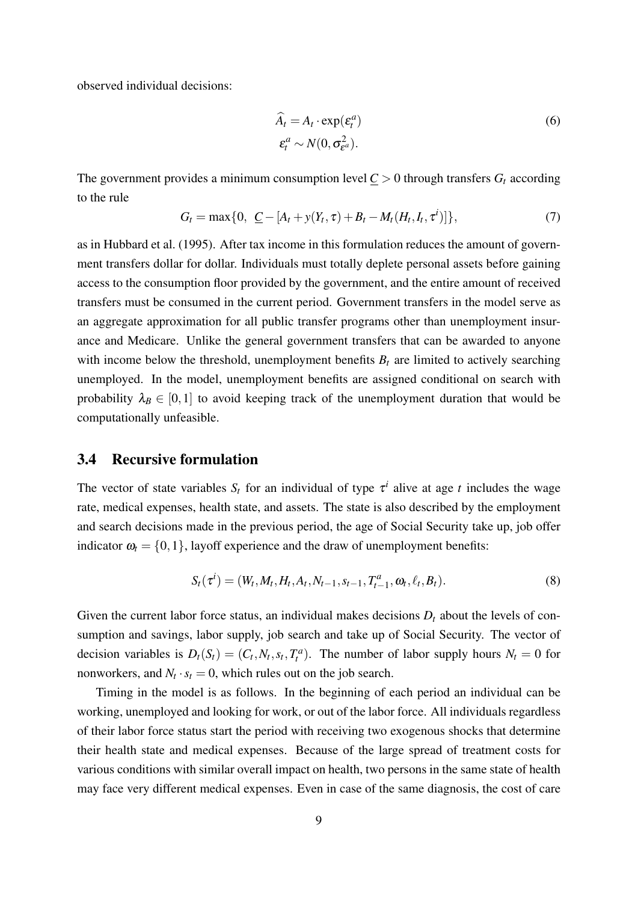observed individual decisions:

$$
\widehat{A}_t = A_t \cdot \exp(\varepsilon_t^a) \n\varepsilon_t^a \sim N(0, \sigma_{\varepsilon^a}^2).
$$
\n(6)

The government provides a minimum consumption level  $C > 0$  through transfers  $G_t$  according to the rule

<span id="page-9-0"></span>
$$
G_t = \max\{0, \ \underline{C} - [A_t + y(Y_t, \tau) + B_t - M_t(H_t, I_t, \tau^i)]\},\tag{7}
$$

as in [Hubbard et al.](#page-33-10) [\(1995\)](#page-33-10). After tax income in this formulation reduces the amount of government transfers dollar for dollar. Individuals must totally deplete personal assets before gaining access to the consumption floor provided by the government, and the entire amount of received transfers must be consumed in the current period. Government transfers in the model serve as an aggregate approximation for all public transfer programs other than unemployment insurance and Medicare. Unlike the general government transfers that can be awarded to anyone with income below the threshold, unemployment benefits  $B_t$  are limited to actively searching unemployed. In the model, unemployment benefits are assigned conditional on search with probability  $\lambda_B \in [0,1]$  to avoid keeping track of the unemployment duration that would be computationally unfeasible.

## 3.4 Recursive formulation

The vector of state variables  $S_t$  for an individual of type  $\tau^i$  alive at age *t* includes the wage rate, medical expenses, health state, and assets. The state is also described by the employment and search decisions made in the previous period, the age of Social Security take up, job offer indicator  $\omega_t = \{0, 1\}$ , layoff experience and the draw of unemployment benefits:

$$
S_t(\tau^i) = (W_t, M_t, H_t, A_t, N_{t-1}, s_{t-1}, T_{t-1}^a, \omega_t, \ell_t, B_t).
$$
\n(8)

Given the current labor force status, an individual makes decisions  $D_t$  about the levels of consumption and savings, labor supply, job search and take up of Social Security. The vector of decision variables is  $D_t(S_t) = (C_t, N_t, s_t, T_t^a)$ . The number of labor supply hours  $N_t = 0$  for nonworkers, and  $N_t \cdot s_t = 0$ , which rules out on the job search.

Timing in the model is as follows. In the beginning of each period an individual can be working, unemployed and looking for work, or out of the labor force. All individuals regardless of their labor force status start the period with receiving two exogenous shocks that determine their health state and medical expenses. Because of the large spread of treatment costs for various conditions with similar overall impact on health, two persons in the same state of health may face very different medical expenses. Even in case of the same diagnosis, the cost of care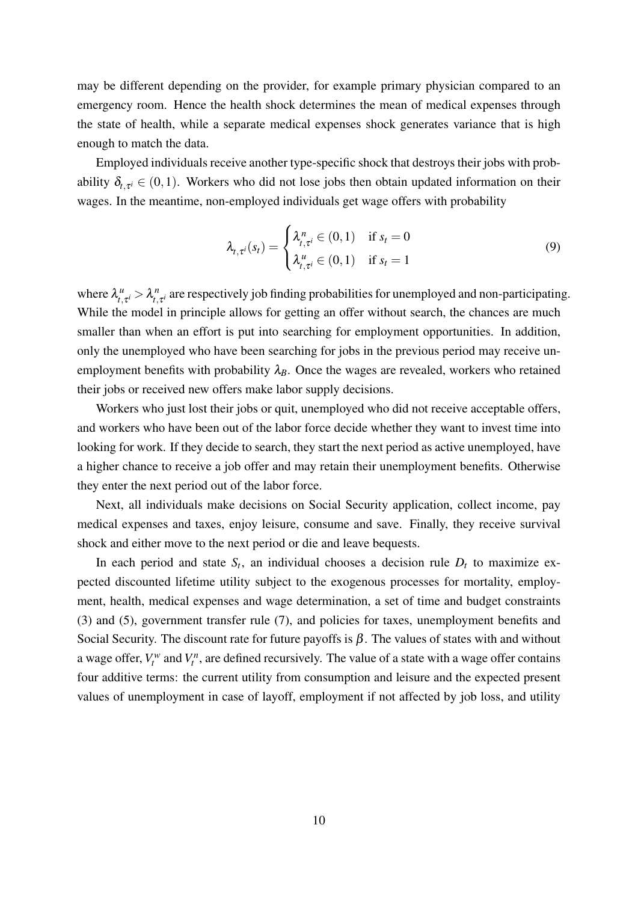may be different depending on the provider, for example primary physician compared to an emergency room. Hence the health shock determines the mean of medical expenses through the state of health, while a separate medical expenses shock generates variance that is high enough to match the data.

Employed individuals receive another type-specific shock that destroys their jobs with probability  $\delta_{t,\tau^i} \in (0,1)$ . Workers who did not lose jobs then obtain updated information on their wages. In the meantime, non-employed individuals get wage offers with probability

$$
\lambda_{t,\tau^{i}}(s_{t}) = \begin{cases} \lambda_{t,\tau^{i}}^{n} \in (0,1) & \text{if } s_{t} = 0\\ \lambda_{t,\tau^{i}}^{u} \in (0,1) & \text{if } s_{t} = 1 \end{cases}
$$
\n(9)

where  $\lambda_i^{\mu}$  $\lambda_t^u, \tau^i > \lambda_t^n$  $\boldsymbol{h}_{t,\tau^{i}}^{n}$  are respectively job finding probabilities for unemployed and non-participating. While the model in principle allows for getting an offer without search, the chances are much smaller than when an effort is put into searching for employment opportunities. In addition, only the unemployed who have been searching for jobs in the previous period may receive unemployment benefits with probability  $\lambda_B$ . Once the wages are revealed, workers who retained their jobs or received new offers make labor supply decisions.

Workers who just lost their jobs or quit, unemployed who did not receive acceptable offers, and workers who have been out of the labor force decide whether they want to invest time into looking for work. If they decide to search, they start the next period as active unemployed, have a higher chance to receive a job offer and may retain their unemployment benefits. Otherwise they enter the next period out of the labor force.

Next, all individuals make decisions on Social Security application, collect income, pay medical expenses and taxes, enjoy leisure, consume and save. Finally, they receive survival shock and either move to the next period or die and leave bequests.

In each period and state  $S_t$ , an individual chooses a decision rule  $D_t$  to maximize expected discounted lifetime utility subject to the exogenous processes for mortality, employment, health, medical expenses and wage determination, a set of time and budget constraints [\(3\)](#page-7-0) and [\(5\)](#page-8-0), government transfer rule [\(7\)](#page-9-0), and policies for taxes, unemployment benefits and Social Security. The discount rate for future payoffs is  $\beta$ . The values of states with and without a wage offer,  $V_t^w$  and  $V_t^n$ , are defined recursively. The value of a state with a wage offer contains four additive terms: the current utility from consumption and leisure and the expected present values of unemployment in case of layoff, employment if not affected by job loss, and utility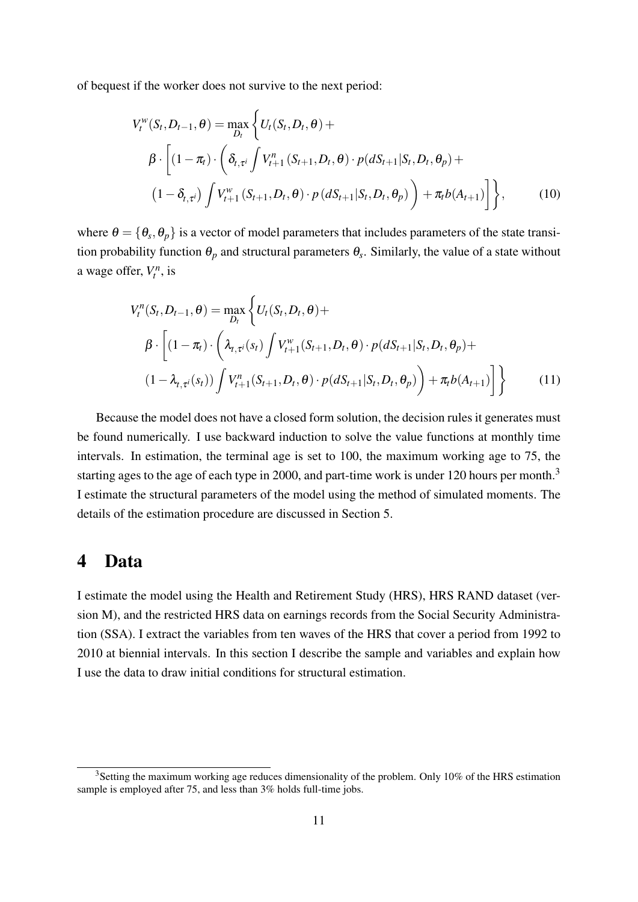of bequest if the worker does not survive to the next period:

<span id="page-11-1"></span>
$$
V_t^w(S_t, D_{t-1}, \theta) = \max_{D_t} \left\{ U_t(S_t, D_t, \theta) + \beta \cdot \left[ (1 - \pi_t) \cdot \left( \delta_{t, \tau^i} \int V_{t+1}^n (S_{t+1}, D_t, \theta) \cdot p(dS_{t+1} | S_t, D_t, \theta_p) + (1 - \delta_{t, \tau^i}) \int V_{t+1}^w (S_{t+1}, D_t, \theta) \cdot p(dS_{t+1} | S_t, D_t, \theta_p) \right) + \pi_t b(A_{t+1}) \right] \right\},
$$
(10)

where  $\theta = \{\theta_s, \theta_p\}$  is a vector of model parameters that includes parameters of the state transition probability function  $\theta_p$  and structural parameters  $\theta_s$ . Similarly, the value of a state without a wage offer,  $V_t^n$ , is

<span id="page-11-2"></span>
$$
V_t^n(S_t, D_{t-1}, \theta) = \max_{D_t} \left\{ U_t(S_t, D_t, \theta) + \beta \cdot \left[ (1 - \pi_t) \cdot \left( \lambda_{t, \tau^i}(s_t) \int V_{t+1}^w(S_{t+1}, D_t, \theta) \cdot p(dS_{t+1} | S_t, D_t, \theta_p) + (1 - \lambda_{t, \tau^i}(s_t)) \int V_{t+1}^n(S_{t+1}, D_t, \theta) \cdot p(dS_{t+1} | S_t, D_t, \theta_p) \right) + \pi_t b(A_{t+1}) \right] \right\}
$$
(11)

Because the model does not have a closed form solution, the decision rules it generates must be found numerically. I use backward induction to solve the value functions at monthly time intervals. In estimation, the terminal age is set to 100, the maximum working age to 75, the starting ages to the age of each type in 2000, and part-time work is under 120 hours per month.<sup>[3](#page-11-0)</sup> I estimate the structural parameters of the model using the method of simulated moments. The details of the estimation procedure are discussed in Section [5.](#page-14-0)

## 4 Data

I estimate the model using the Health and Retirement Study (HRS), HRS RAND dataset (version M), and the restricted HRS data on earnings records from the Social Security Administration (SSA). I extract the variables from ten waves of the HRS that cover a period from 1992 to 2010 at biennial intervals. In this section I describe the sample and variables and explain how I use the data to draw initial conditions for structural estimation.

<span id="page-11-0"></span><sup>&</sup>lt;sup>3</sup>Setting the maximum working age reduces dimensionality of the problem. Only 10% of the HRS estimation sample is employed after 75, and less than 3% holds full-time jobs.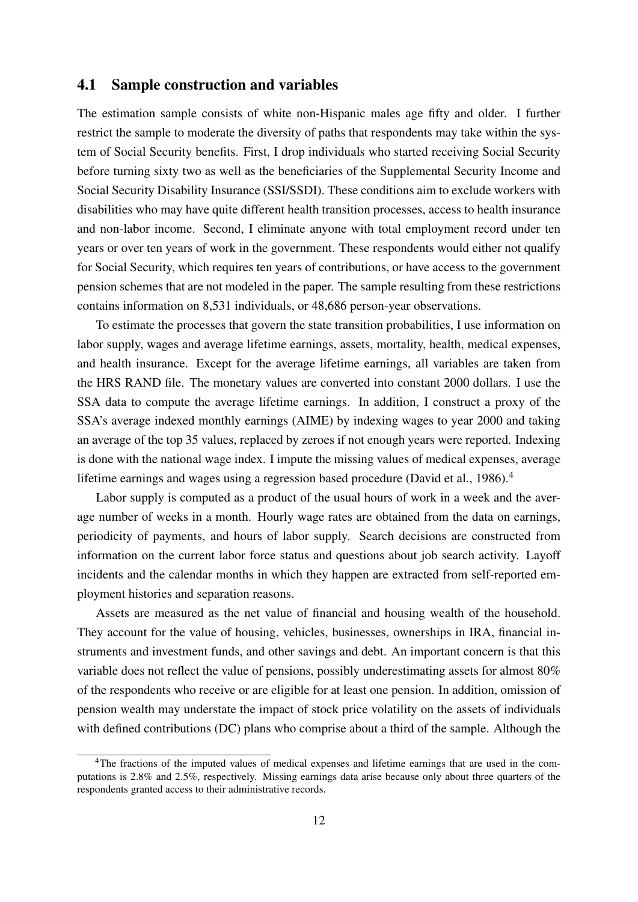## 4.1 Sample construction and variables

The estimation sample consists of white non-Hispanic males age fifty and older. I further restrict the sample to moderate the diversity of paths that respondents may take within the system of Social Security benefits. First, I drop individuals who started receiving Social Security before turning sixty two as well as the beneficiaries of the Supplemental Security Income and Social Security Disability Insurance (SSI/SSDI). These conditions aim to exclude workers with disabilities who may have quite different health transition processes, access to health insurance and non-labor income. Second, I eliminate anyone with total employment record under ten years or over ten years of work in the government. These respondents would either not qualify for Social Security, which requires ten years of contributions, or have access to the government pension schemes that are not modeled in the paper. The sample resulting from these restrictions contains information on 8,531 individuals, or 48,686 person-year observations.

To estimate the processes that govern the state transition probabilities, I use information on labor supply, wages and average lifetime earnings, assets, mortality, health, medical expenses, and health insurance. Except for the average lifetime earnings, all variables are taken from the HRS RAND file. The monetary values are converted into constant 2000 dollars. I use the SSA data to compute the average lifetime earnings. In addition, I construct a proxy of the SSA's average indexed monthly earnings (AIME) by indexing wages to year 2000 and taking an average of the top 35 values, replaced by zeroes if not enough years were reported. Indexing is done with the national wage index. I impute the missing values of medical expenses, average lifetime earnings and wages using a regression based procedure [\(David et al., 1986\)](#page-32-10).<sup>[4](#page-12-0)</sup>

Labor supply is computed as a product of the usual hours of work in a week and the average number of weeks in a month. Hourly wage rates are obtained from the data on earnings, periodicity of payments, and hours of labor supply. Search decisions are constructed from information on the current labor force status and questions about job search activity. Layoff incidents and the calendar months in which they happen are extracted from self-reported employment histories and separation reasons.

Assets are measured as the net value of financial and housing wealth of the household. They account for the value of housing, vehicles, businesses, ownerships in IRA, financial instruments and investment funds, and other savings and debt. An important concern is that this variable does not reflect the value of pensions, possibly underestimating assets for almost 80% of the respondents who receive or are eligible for at least one pension. In addition, omission of pension wealth may understate the impact of stock price volatility on the assets of individuals with defined contributions (DC) plans who comprise about a third of the sample. Although the

<span id="page-12-0"></span><sup>&</sup>lt;sup>4</sup>The fractions of the imputed values of medical expenses and lifetime earnings that are used in the computations is 2.8% and 2.5%, respectively. Missing earnings data arise because only about three quarters of the respondents granted access to their administrative records.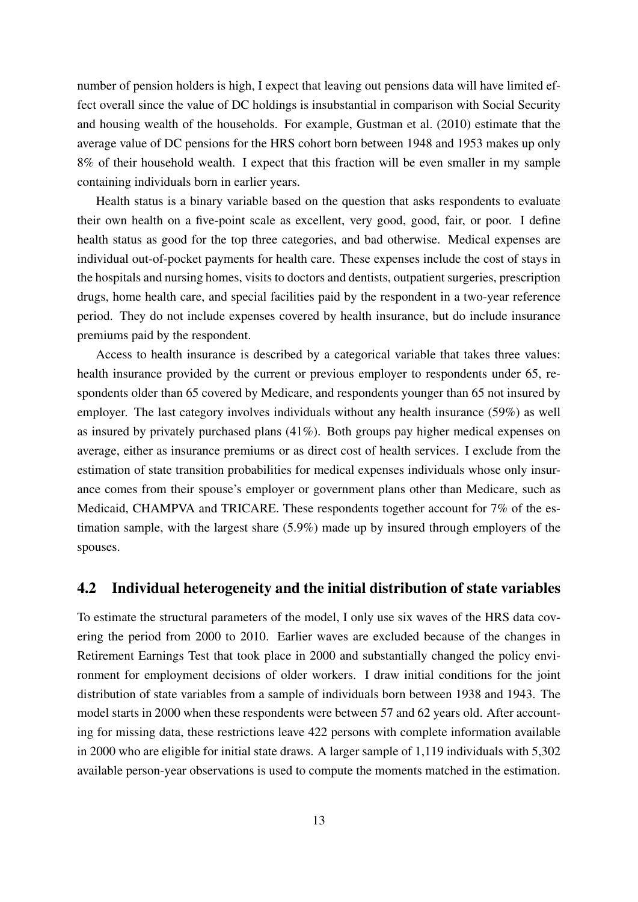number of pension holders is high, I expect that leaving out pensions data will have limited effect overall since the value of DC holdings is insubstantial in comparison with Social Security and housing wealth of the households. For example, [Gustman et al.](#page-33-7) [\(2010\)](#page-33-7) estimate that the average value of DC pensions for the HRS cohort born between 1948 and 1953 makes up only 8% of their household wealth. I expect that this fraction will be even smaller in my sample containing individuals born in earlier years.

Health status is a binary variable based on the question that asks respondents to evaluate their own health on a five-point scale as excellent, very good, good, fair, or poor. I define health status as good for the top three categories, and bad otherwise. Medical expenses are individual out-of-pocket payments for health care. These expenses include the cost of stays in the hospitals and nursing homes, visits to doctors and dentists, outpatient surgeries, prescription drugs, home health care, and special facilities paid by the respondent in a two-year reference period. They do not include expenses covered by health insurance, but do include insurance premiums paid by the respondent.

Access to health insurance is described by a categorical variable that takes three values: health insurance provided by the current or previous employer to respondents under 65, respondents older than 65 covered by Medicare, and respondents younger than 65 not insured by employer. The last category involves individuals without any health insurance (59%) as well as insured by privately purchased plans (41%). Both groups pay higher medical expenses on average, either as insurance premiums or as direct cost of health services. I exclude from the estimation of state transition probabilities for medical expenses individuals whose only insurance comes from their spouse's employer or government plans other than Medicare, such as Medicaid, CHAMPVA and TRICARE. These respondents together account for 7% of the estimation sample, with the largest share (5.9%) made up by insured through employers of the spouses.

## 4.2 Individual heterogeneity and the initial distribution of state variables

To estimate the structural parameters of the model, I only use six waves of the HRS data covering the period from 2000 to 2010. Earlier waves are excluded because of the changes in Retirement Earnings Test that took place in 2000 and substantially changed the policy environment for employment decisions of older workers. I draw initial conditions for the joint distribution of state variables from a sample of individuals born between 1938 and 1943. The model starts in 2000 when these respondents were between 57 and 62 years old. After accounting for missing data, these restrictions leave 422 persons with complete information available in 2000 who are eligible for initial state draws. A larger sample of 1,119 individuals with 5,302 available person-year observations is used to compute the moments matched in the estimation.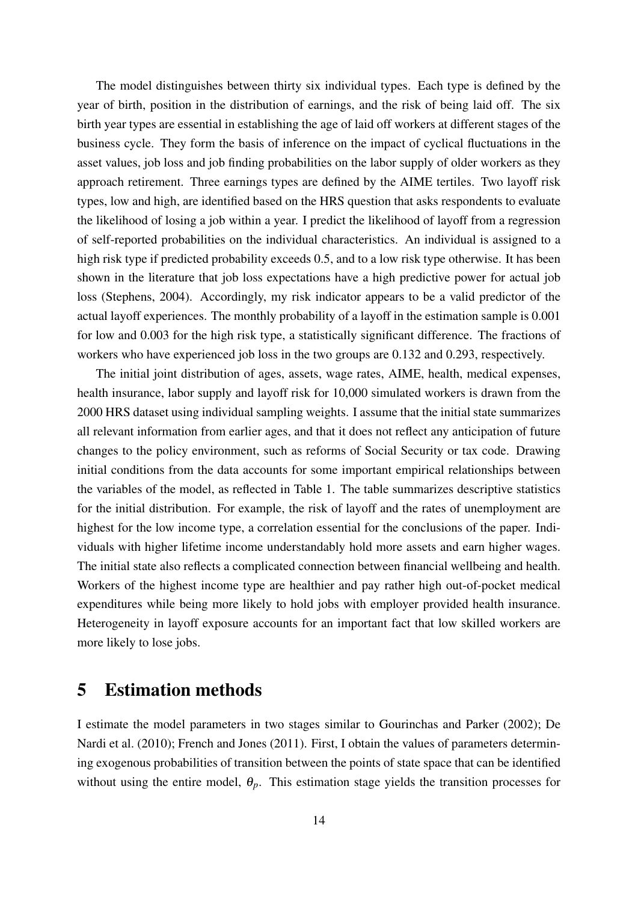The model distinguishes between thirty six individual types. Each type is defined by the year of birth, position in the distribution of earnings, and the risk of being laid off. The six birth year types are essential in establishing the age of laid off workers at different stages of the business cycle. They form the basis of inference on the impact of cyclical fluctuations in the asset values, job loss and job finding probabilities on the labor supply of older workers as they approach retirement. Three earnings types are defined by the AIME tertiles. Two layoff risk types, low and high, are identified based on the HRS question that asks respondents to evaluate the likelihood of losing a job within a year. I predict the likelihood of layoff from a regression of self-reported probabilities on the individual characteristics. An individual is assigned to a high risk type if predicted probability exceeds 0.5, and to a low risk type otherwise. It has been shown in the literature that job loss expectations have a high predictive power for actual job loss [\(Stephens, 2004\)](#page-34-6). Accordingly, my risk indicator appears to be a valid predictor of the actual layoff experiences. The monthly probability of a layoff in the estimation sample is 0.001 for low and 0.003 for the high risk type, a statistically significant difference. The fractions of workers who have experienced job loss in the two groups are 0.132 and 0.293, respectively.

The initial joint distribution of ages, assets, wage rates, AIME, health, medical expenses, health insurance, labor supply and layoff risk for 10,000 simulated workers is drawn from the 2000 HRS dataset using individual sampling weights. I assume that the initial state summarizes all relevant information from earlier ages, and that it does not reflect any anticipation of future changes to the policy environment, such as reforms of Social Security or tax code. Drawing initial conditions from the data accounts for some important empirical relationships between the variables of the model, as reflected in Table 1. The table summarizes descriptive statistics for the initial distribution. For example, the risk of layoff and the rates of unemployment are highest for the low income type, a correlation essential for the conclusions of the paper. Individuals with higher lifetime income understandably hold more assets and earn higher wages. The initial state also reflects a complicated connection between financial wellbeing and health. Workers of the highest income type are healthier and pay rather high out-of-pocket medical expenditures while being more likely to hold jobs with employer provided health insurance. Heterogeneity in layoff exposure accounts for an important fact that low skilled workers are more likely to lose jobs.

## <span id="page-14-0"></span>5 Estimation methods

I estimate the model parameters in two stages similar to [Gourinchas and Parker](#page-33-11) [\(2002\)](#page-33-11); [De](#page-33-9) [Nardi et al.](#page-33-9) [\(2010\)](#page-33-9); [French and Jones](#page-33-0) [\(2011\)](#page-33-0). First, I obtain the values of parameters determining exogenous probabilities of transition between the points of state space that can be identified without using the entire model,  $\theta_p$ . This estimation stage yields the transition processes for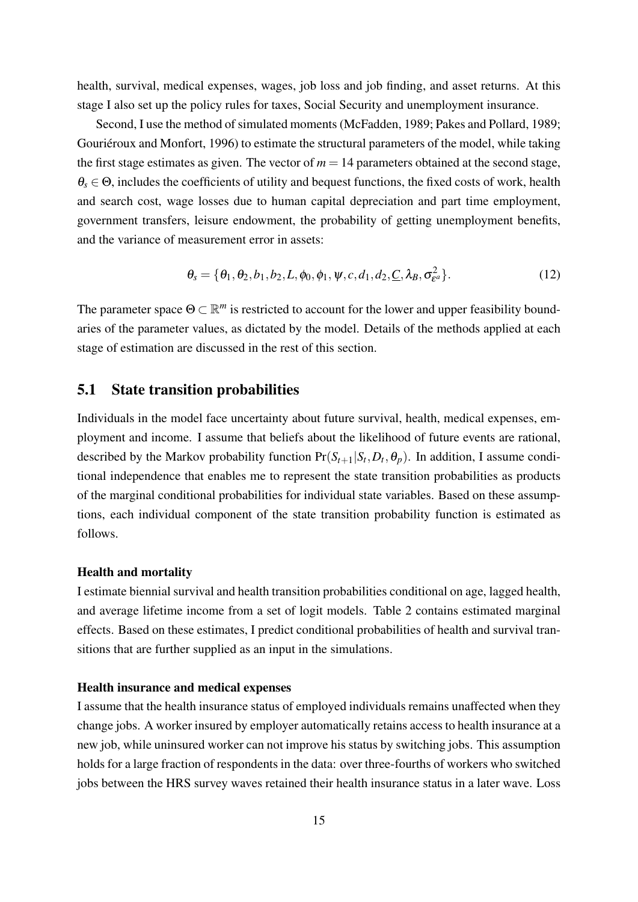health, survival, medical expenses, wages, job loss and job finding, and asset returns. At this stage I also set up the policy rules for taxes, Social Security and unemployment insurance.

Second, I use the method of simulated moments [\(McFadden, 1989;](#page-34-7) [Pakes and Pollard, 1989;](#page-34-8) Gouriéroux and Monfort, 1996) to estimate the structural parameters of the model, while taking the first stage estimates as given. The vector of  $m = 14$  parameters obtained at the second stage,  $\theta_{s} \in \Theta$ , includes the coefficients of utility and bequest functions, the fixed costs of work, health and search cost, wage losses due to human capital depreciation and part time employment, government transfers, leisure endowment, the probability of getting unemployment benefits, and the variance of measurement error in assets:

$$
\theta_s = \{\theta_1, \theta_2, b_1, b_2, L, \phi_0, \phi_1, \psi, c, d_1, d_2, \underline{C}, \lambda_B, \sigma_{\varepsilon^a}^2\}.
$$
\n(12)

The parameter space  $\Theta \subset \mathbb{R}^m$  is restricted to account for the lower and upper feasibility boundaries of the parameter values, as dictated by the model. Details of the methods applied at each stage of estimation are discussed in the rest of this section.

## 5.1 State transition probabilities

Individuals in the model face uncertainty about future survival, health, medical expenses, employment and income. I assume that beliefs about the likelihood of future events are rational, described by the Markov probability function  $Pr(S_{t+1}|S_t, D_t, \theta_p)$ . In addition, I assume conditional independence that enables me to represent the state transition probabilities as products of the marginal conditional probabilities for individual state variables. Based on these assumptions, each individual component of the state transition probability function is estimated as follows.

#### Health and mortality

I estimate biennial survival and health transition probabilities conditional on age, lagged health, and average lifetime income from a set of logit models. Table [2](#page-41-0) contains estimated marginal effects. Based on these estimates, I predict conditional probabilities of health and survival transitions that are further supplied as an input in the simulations.

#### Health insurance and medical expenses

I assume that the health insurance status of employed individuals remains unaffected when they change jobs. A worker insured by employer automatically retains access to health insurance at a new job, while uninsured worker can not improve his status by switching jobs. This assumption holds for a large fraction of respondents in the data: over three-fourths of workers who switched jobs between the HRS survey waves retained their health insurance status in a later wave. Loss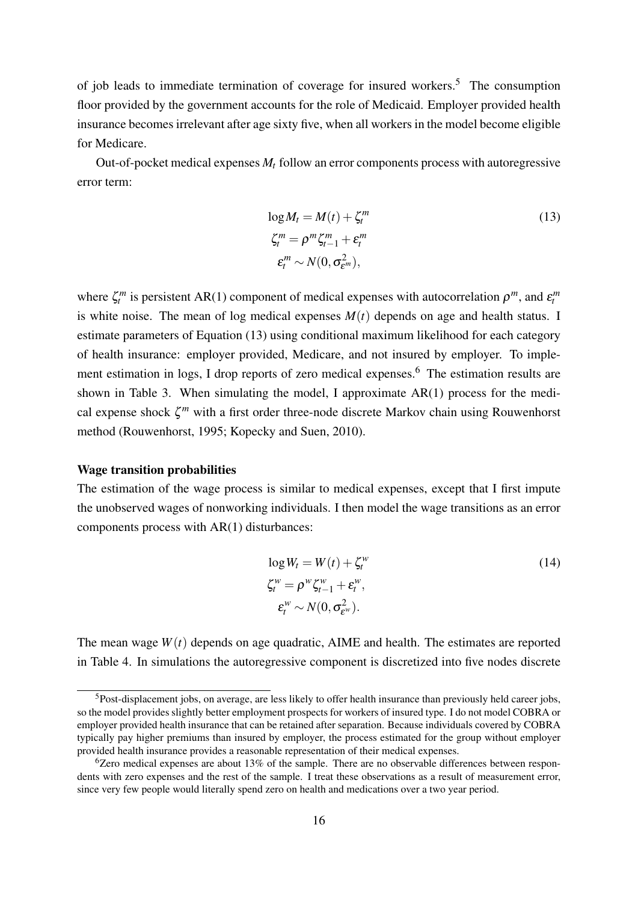of job leads to immediate termination of coverage for insured workers.<sup>[5](#page-16-0)</sup> The consumption floor provided by the government accounts for the role of Medicaid. Employer provided health insurance becomes irrelevant after age sixty five, when all workers in the model become eligible for Medicare.

Out-of-pocket medical expenses *M<sup>t</sup>* follow an error components process with autoregressive error term:

<span id="page-16-1"></span>
$$
\log M_t = M(t) + \zeta_t^m
$$
  
\n
$$
\zeta_t^m = \rho^m \zeta_{t-1}^m + \varepsilon_t^m
$$
  
\n
$$
\varepsilon_t^m \sim N(0, \sigma_{\varepsilon^m}^2),
$$
\n(13)

where  $\zeta_t^m$  is persistent AR(1) component of medical expenses with autocorrelation  $\rho^m$ , and  $\varepsilon_t^m$ is white noise. The mean of log medical expenses  $M(t)$  depends on age and health status. I estimate parameters of Equation [\(13\)](#page-16-1) using conditional maximum likelihood for each category of health insurance: employer provided, Medicare, and not insured by employer. To imple-ment estimation in logs, I drop reports of zero medical expenses.<sup>[6](#page-16-2)</sup> The estimation results are shown in Table [3.](#page-42-0) When simulating the model, I approximate AR(1) process for the medical expense shock ζ *<sup>m</sup>* with a first order three-node discrete Markov chain using Rouwenhorst method [\(Rouwenhorst, 1995;](#page-34-9) [Kopecky and Suen, 2010\)](#page-34-10).

#### Wage transition probabilities

The estimation of the wage process is similar to medical expenses, except that I first impute the unobserved wages of nonworking individuals. I then model the wage transitions as an error components process with AR(1) disturbances:

<span id="page-16-3"></span>
$$
\log W_t = W(t) + \zeta_t^w
$$
  
\n
$$
\zeta_t^w = \rho^w \zeta_{t-1}^w + \varepsilon_t^w,
$$
  
\n
$$
\varepsilon_t^w \sim N(0, \sigma_{\varepsilon^w}^2).
$$
\n(14)

The mean wage  $W(t)$  depends on age quadratic, AIME and health. The estimates are reported in Table [4.](#page-42-1) In simulations the autoregressive component is discretized into five nodes discrete

<span id="page-16-0"></span><sup>5</sup>Post-displacement jobs, on average, are less likely to offer health insurance than previously held career jobs, so the model provides slightly better employment prospects for workers of insured type. I do not model COBRA or employer provided health insurance that can be retained after separation. Because individuals covered by COBRA typically pay higher premiums than insured by employer, the process estimated for the group without employer provided health insurance provides a reasonable representation of their medical expenses.

<span id="page-16-2"></span> $6Z$ ero medical expenses are about 13% of the sample. There are no observable differences between respondents with zero expenses and the rest of the sample. I treat these observations as a result of measurement error, since very few people would literally spend zero on health and medications over a two year period.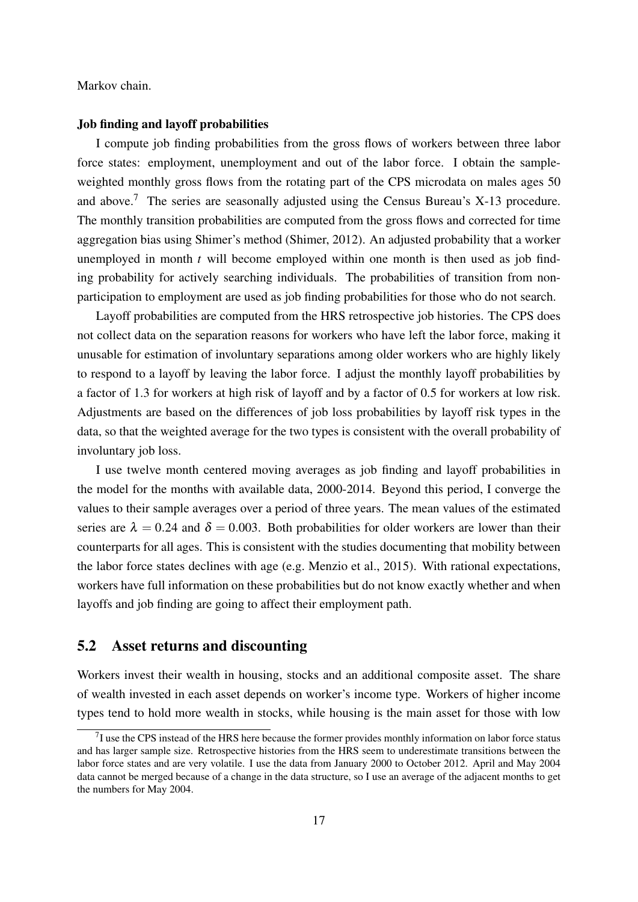Markov chain.

#### Job finding and layoff probabilities

I compute job finding probabilities from the gross flows of workers between three labor force states: employment, unemployment and out of the labor force. I obtain the sampleweighted monthly gross flows from the rotating part of the CPS microdata on males ages 50 and above.<sup>[7](#page-17-0)</sup> The series are seasonally adjusted using the Census Bureau's X-13 procedure. The monthly transition probabilities are computed from the gross flows and corrected for time aggregation bias using Shimer's method (Shimer, 2012). An adjusted probability that a worker unemployed in month *t* will become employed within one month is then used as job finding probability for actively searching individuals. The probabilities of transition from nonparticipation to employment are used as job finding probabilities for those who do not search.

Layoff probabilities are computed from the HRS retrospective job histories. The CPS does not collect data on the separation reasons for workers who have left the labor force, making it unusable for estimation of involuntary separations among older workers who are highly likely to respond to a layoff by leaving the labor force. I adjust the monthly layoff probabilities by a factor of 1.3 for workers at high risk of layoff and by a factor of 0.5 for workers at low risk. Adjustments are based on the differences of job loss probabilities by layoff risk types in the data, so that the weighted average for the two types is consistent with the overall probability of involuntary job loss.

I use twelve month centered moving averages as job finding and layoff probabilities in the model for the months with available data, 2000-2014. Beyond this period, I converge the values to their sample averages over a period of three years. The mean values of the estimated series are  $\lambda = 0.24$  and  $\delta = 0.003$ . Both probabilities for older workers are lower than their counterparts for all ages. This is consistent with the studies documenting that mobility between the labor force states declines with age (e.g. [Menzio et al., 2015\)](#page-34-11). With rational expectations, workers have full information on these probabilities but do not know exactly whether and when layoffs and job finding are going to affect their employment path.

## 5.2 Asset returns and discounting

Workers invest their wealth in housing, stocks and an additional composite asset. The share of wealth invested in each asset depends on worker's income type. Workers of higher income types tend to hold more wealth in stocks, while housing is the main asset for those with low

<span id="page-17-0"></span> $17$  use the CPS instead of the HRS here because the former provides monthly information on labor force status and has larger sample size. Retrospective histories from the HRS seem to underestimate transitions between the labor force states and are very volatile. I use the data from January 2000 to October 2012. April and May 2004 data cannot be merged because of a change in the data structure, so I use an average of the adjacent months to get the numbers for May 2004.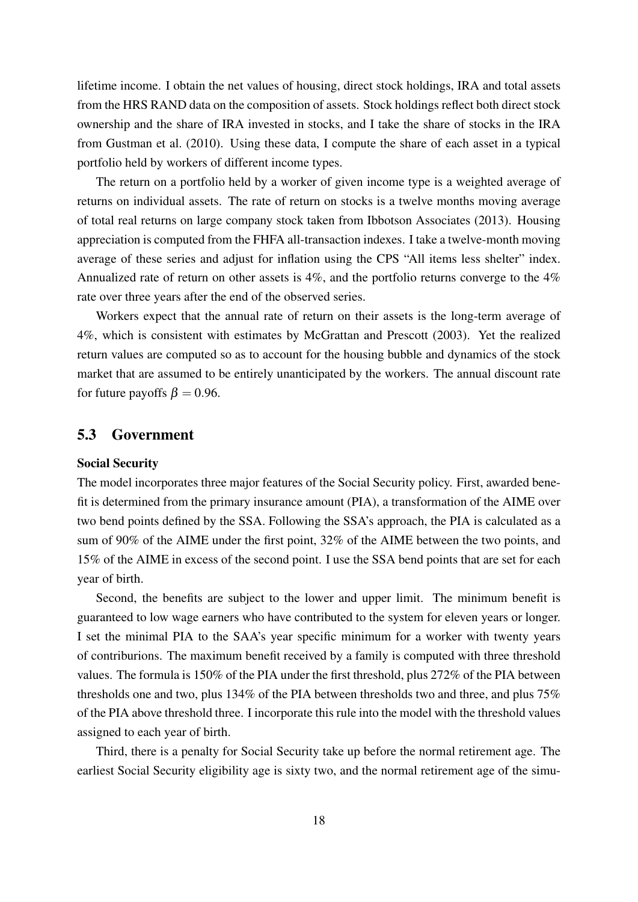lifetime income. I obtain the net values of housing, direct stock holdings, IRA and total assets from the HRS RAND data on the composition of assets. Stock holdings reflect both direct stock ownership and the share of IRA invested in stocks, and I take the share of stocks in the IRA from [Gustman et al.](#page-33-7) [\(2010\)](#page-33-7). Using these data, I compute the share of each asset in a typical portfolio held by workers of different income types.

The return on a portfolio held by a worker of given income type is a weighted average of returns on individual assets. The rate of return on stocks is a twelve months moving average of total real returns on large company stock taken from [Ibbotson Associates](#page-33-13) [\(2013\)](#page-33-13). Housing appreciation is computed from the FHFA all-transaction indexes. I take a twelve-month moving average of these series and adjust for inflation using the CPS "All items less shelter" index. Annualized rate of return on other assets is 4%, and the portfolio returns converge to the 4% rate over three years after the end of the observed series.

Workers expect that the annual rate of return on their assets is the long-term average of 4%, which is consistent with estimates by [McGrattan and Prescott](#page-34-12) [\(2003\)](#page-34-12). Yet the realized return values are computed so as to account for the housing bubble and dynamics of the stock market that are assumed to be entirely unanticipated by the workers. The annual discount rate for future payoffs  $\beta = 0.96$ .

## <span id="page-18-0"></span>5.3 Government

#### Social Security

The model incorporates three major features of the Social Security policy. First, awarded benefit is determined from the primary insurance amount (PIA), a transformation of the AIME over two bend points defined by the SSA. Following the SSA's approach, the PIA is calculated as a sum of 90% of the AIME under the first point, 32% of the AIME between the two points, and 15% of the AIME in excess of the second point. I use the SSA bend points that are set for each year of birth.

Second, the benefits are subject to the lower and upper limit. The minimum benefit is guaranteed to low wage earners who have contributed to the system for eleven years or longer. I set the minimal PIA to the SAA's year specific minimum for a worker with twenty years of contriburions. The maximum benefit received by a family is computed with three threshold values. The formula is 150% of the PIA under the first threshold, plus 272% of the PIA between thresholds one and two, plus 134% of the PIA between thresholds two and three, and plus 75% of the PIA above threshold three. I incorporate this rule into the model with the threshold values assigned to each year of birth.

Third, there is a penalty for Social Security take up before the normal retirement age. The earliest Social Security eligibility age is sixty two, and the normal retirement age of the simu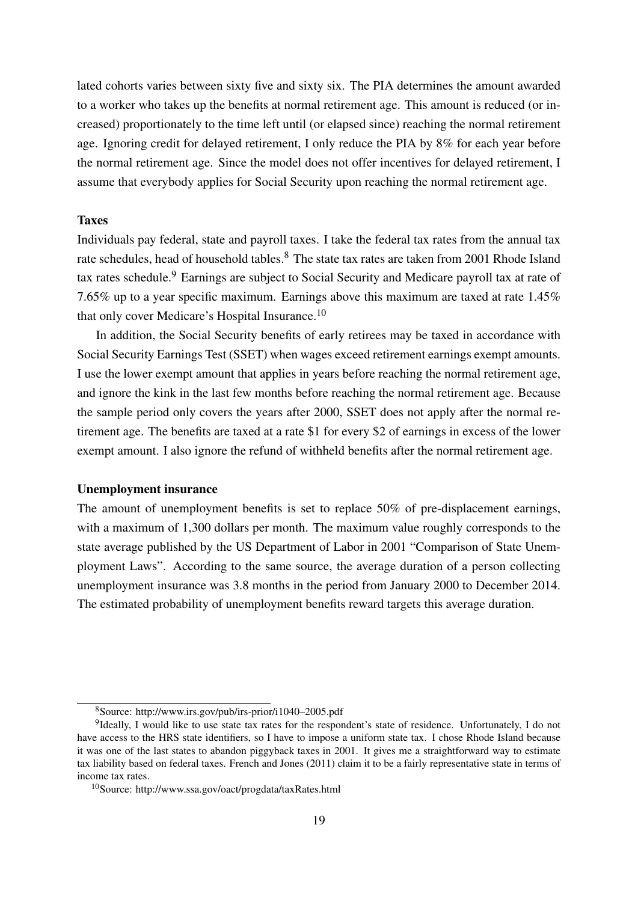lated cohorts varies between sixty five and sixty six. The PIA determines the amount awarded to a worker who takes up the benefits at normal retirement age. This amount is reduced (or increased) proportionately to the time left until (or elapsed since) reaching the normal retirement age. Ignoring credit for delayed retirement, I only reduce the PIA by 8% for each year before the normal retirement age. Since the model does not offer incentives for delayed retirement, I assume that everybody applies for Social Security upon reaching the normal retirement age.

#### Taxes

Individuals pay federal, state and payroll taxes. I take the federal tax rates from the annual tax rate schedules, head of household tables.<sup>[8](#page-19-0)</sup> The state tax rates are taken from 2001 Rhode Island tax rates schedule.[9](#page-19-1) Earnings are subject to Social Security and Medicare payroll tax at rate of 7.65% up to a year specific maximum. Earnings above this maximum are taxed at rate 1.45% that only cover Medicare's Hospital Insurance.[10](#page-19-2)

In addition, the Social Security benefits of early retirees may be taxed in accordance with Social Security Earnings Test (SSET) when wages exceed retirement earnings exempt amounts. I use the lower exempt amount that applies in years before reaching the normal retirement age, and ignore the kink in the last few months before reaching the normal retirement age. Because the sample period only covers the years after 2000, SSET does not apply after the normal retirement age. The benefits are taxed at a rate \$1 for every \$2 of earnings in excess of the lower exempt amount. I also ignore the refund of withheld benefits after the normal retirement age.

#### Unemployment insurance

The amount of unemployment benefits is set to replace 50% of pre-displacement earnings, with a maximum of 1,300 dollars per month. The maximum value roughly corresponds to the state average published by the US Department of Labor in 2001 "Comparison of State Unemployment Laws". According to the same source, the average duration of a person collecting unemployment insurance was 3.8 months in the period from January 2000 to December 2014. The estimated probability of unemployment benefits reward targets this average duration.

<span id="page-19-1"></span><span id="page-19-0"></span><sup>8</sup>Source: http://www.irs.gov/pub/irs-prior/i1040–2005.pdf

<sup>&</sup>lt;sup>9</sup>Ideally, I would like to use state tax rates for the respondent's state of residence. Unfortunately, I do not have access to the HRS state identifiers, so I have to impose a uniform state tax. I chose Rhode Island because it was one of the last states to abandon piggyback taxes in 2001. It gives me a straightforward way to estimate tax liability based on federal taxes. [French and Jones](#page-33-0) [\(2011\)](#page-33-0) claim it to be a fairly representative state in terms of income tax rates.

<span id="page-19-2"></span><sup>10</sup>Source: http://www.ssa.gov/oact/progdata/taxRates.html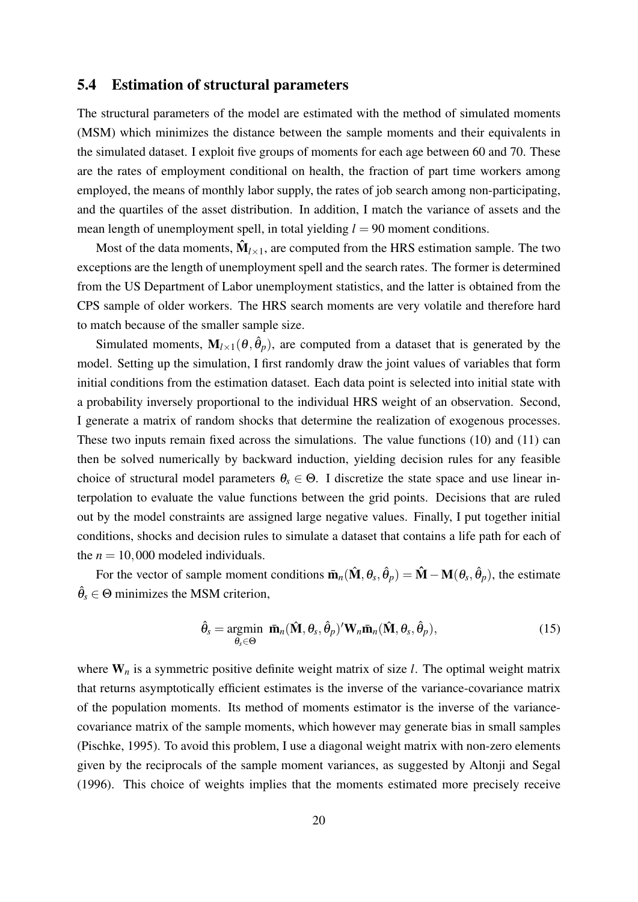## 5.4 Estimation of structural parameters

The structural parameters of the model are estimated with the method of simulated moments (MSM) which minimizes the distance between the sample moments and their equivalents in the simulated dataset. I exploit five groups of moments for each age between 60 and 70. These are the rates of employment conditional on health, the fraction of part time workers among employed, the means of monthly labor supply, the rates of job search among non-participating, and the quartiles of the asset distribution. In addition, I match the variance of assets and the mean length of unemployment spell, in total yielding  $l = 90$  moment conditions.

Most of the data moments,  $\mathbf{\hat{M}}_{l\times 1}$ , are computed from the HRS estimation sample. The two exceptions are the length of unemployment spell and the search rates. The former is determined from the US Department of Labor unemployment statistics, and the latter is obtained from the CPS sample of older workers. The HRS search moments are very volatile and therefore hard to match because of the smaller sample size.

Simulated moments,  $M_{l \times 1}(\theta, \hat{\theta}_p)$ , are computed from a dataset that is generated by the model. Setting up the simulation, I first randomly draw the joint values of variables that form initial conditions from the estimation dataset. Each data point is selected into initial state with a probability inversely proportional to the individual HRS weight of an observation. Second, I generate a matrix of random shocks that determine the realization of exogenous processes. These two inputs remain fixed across the simulations. The value functions [\(10\)](#page-11-1) and [\(11\)](#page-11-2) can then be solved numerically by backward induction, yielding decision rules for any feasible choice of structural model parameters  $\theta_s \in \Theta$ . I discretize the state space and use linear interpolation to evaluate the value functions between the grid points. Decisions that are ruled out by the model constraints are assigned large negative values. Finally, I put together initial conditions, shocks and decision rules to simulate a dataset that contains a life path for each of the  $n = 10,000$  modeled individuals.

For the vector of sample moment conditions  $\bar{\mathbf{m}}_n(\hat{\mathbf{M}}, \theta_s, \hat{\theta}_p) = \hat{\mathbf{M}} - \mathbf{M}(\theta_s, \hat{\theta}_p)$ , the estimate  $\hat{\theta}_s \in \Theta$  minimizes the MSM criterion,

<span id="page-20-0"></span>
$$
\hat{\theta}_s = \underset{\theta_s \in \Theta}{\text{argmin}} \ \ \bar{\mathbf{m}}_n(\hat{\mathbf{M}}, \theta_s, \hat{\theta}_p)' \mathbf{W}_n \bar{\mathbf{m}}_n(\hat{\mathbf{M}}, \theta_s, \hat{\theta}_p), \tag{15}
$$

where  $W_n$  is a symmetric positive definite weight matrix of size *l*. The optimal weight matrix that returns asymptotically efficient estimates is the inverse of the variance-covariance matrix of the population moments. Its method of moments estimator is the inverse of the variancecovariance matrix of the sample moments, which however may generate bias in small samples [\(Pischke, 1995\)](#page-34-13). To avoid this problem, I use a diagonal weight matrix with non-zero elements given by the reciprocals of the sample moment variances, as suggested by [Altonji and Segal](#page-32-11) [\(1996\)](#page-32-11). This choice of weights implies that the moments estimated more precisely receive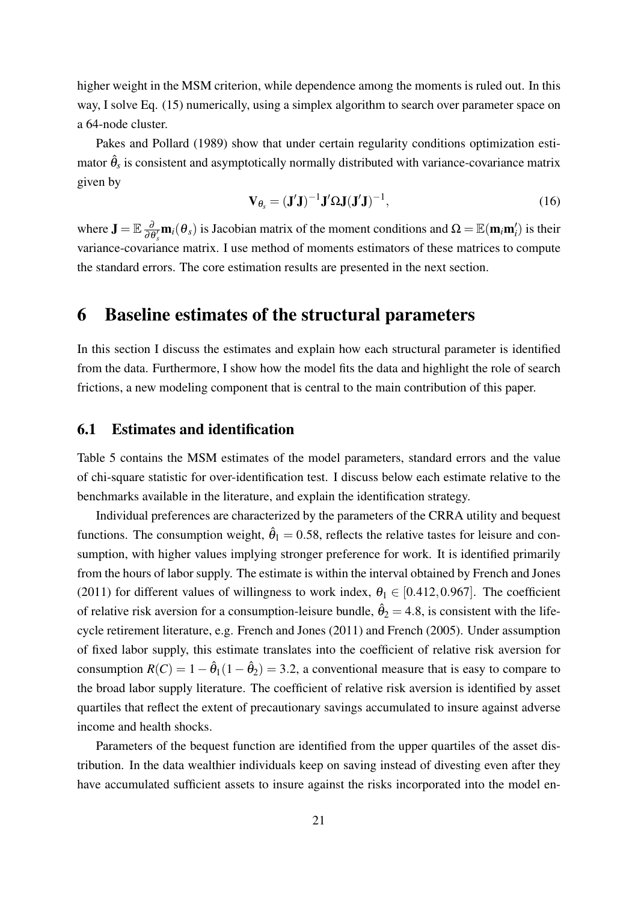higher weight in the MSM criterion, while dependence among the moments is ruled out. In this way, I solve Eq. [\(15\)](#page-20-0) numerically, using a simplex algorithm to search over parameter space on a 64-node cluster.

[Pakes and Pollard](#page-34-8) [\(1989\)](#page-34-8) show that under certain regularity conditions optimization estimator  $\hat{\theta}_s$  is consistent and asymptotically normally distributed with variance-covariance matrix given by

$$
\mathbf{V}_{\theta_{s}} = (\mathbf{J}'\mathbf{J})^{-1}\mathbf{J}'\Omega\mathbf{J}(\mathbf{J}'\mathbf{J})^{-1},\tag{16}
$$

where  $\mathbf{J} = \mathbb{E} \frac{\partial}{\partial \theta_s'} \mathbf{m}_i(\theta_s)$  is Jacobian matrix of the moment conditions and  $\Omega = \mathbb{E}(\mathbf{m}_i \mathbf{m}_i')$  is their variance-covariance matrix. I use method of moments estimators of these matrices to compute the standard errors. The core estimation results are presented in the next section.

## 6 Baseline estimates of the structural parameters

In this section I discuss the estimates and explain how each structural parameter is identified from the data. Furthermore, I show how the model fits the data and highlight the role of search frictions, a new modeling component that is central to the main contribution of this paper.

## 6.1 Estimates and identification

Table [5](#page-43-0) contains the MSM estimates of the model parameters, standard errors and the value of chi-square statistic for over-identification test. I discuss below each estimate relative to the benchmarks available in the literature, and explain the identification strategy.

Individual preferences are characterized by the parameters of the CRRA utility and bequest functions. The consumption weight,  $\hat{\theta}_1 = 0.58$ , reflects the relative tastes for leisure and consumption, with higher values implying stronger preference for work. It is identified primarily from the hours of labor supply. The estimate is within the interval obtained by [French and Jones](#page-33-0) [\(2011\)](#page-33-0) for different values of willingness to work index,  $\theta_1 \in [0.412, 0.967]$ . The coefficient of relative risk aversion for a consumption-leisure bundle,  $\hat{\theta}_2 = 4.8$ , is consistent with the lifecycle retirement literature, e.g. [French and Jones](#page-33-0) [\(2011\)](#page-33-0) and [French](#page-33-14) [\(2005\)](#page-33-14). Under assumption of fixed labor supply, this estimate translates into the coefficient of relative risk aversion for consumption  $R(C) = 1 - \hat{\theta}_1(1 - \hat{\theta}_2) = 3.2$ , a conventional measure that is easy to compare to the broad labor supply literature. The coefficient of relative risk aversion is identified by asset quartiles that reflect the extent of precautionary savings accumulated to insure against adverse income and health shocks.

Parameters of the bequest function are identified from the upper quartiles of the asset distribution. In the data wealthier individuals keep on saving instead of divesting even after they have accumulated sufficient assets to insure against the risks incorporated into the model en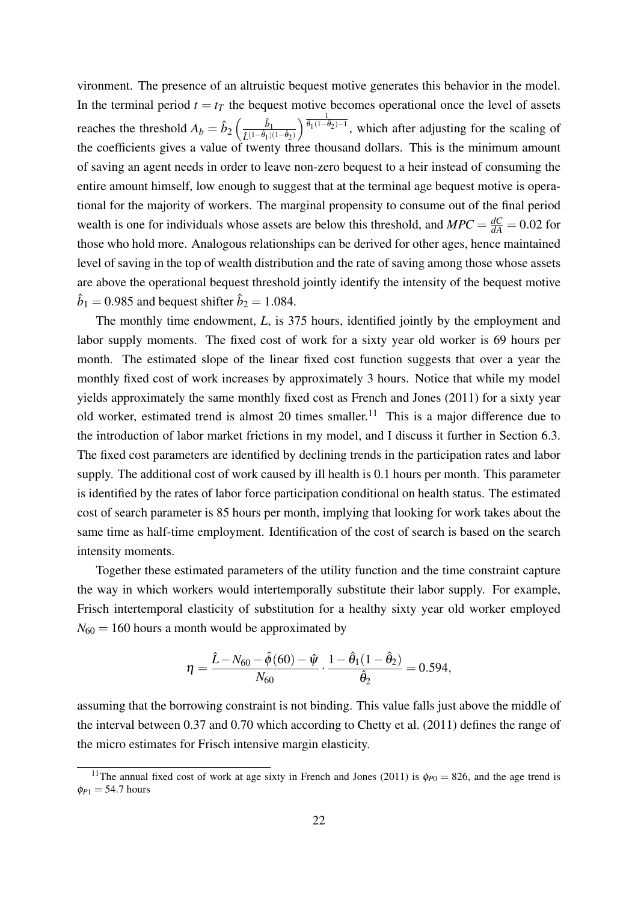vironment. The presence of an altruistic bequest motive generates this behavior in the model. In the terminal period  $t = t_T$  the bequest motive becomes operational once the level of assets reaches the threshold  $A_b = \hat{b}_2 \left( \frac{\hat{b}_1}{\hat{L}^{(1-\hat{\theta}_1)(1-\hat{\theta}_2)}} \right) \frac{\frac{1}{\hat{\theta}_1(1-\hat{\theta}_2)-1}}{2}$ , which after adjusting for the scaling of the coefficients gives a value of twenty three thousand dollars. This is the minimum amount of saving an agent needs in order to leave non-zero bequest to a heir instead of consuming the entire amount himself, low enough to suggest that at the terminal age bequest motive is operational for the majority of workers. The marginal propensity to consume out of the final period wealth is one for individuals whose assets are below this threshold, and  $MPC = \frac{dC}{dA} = 0.02$  for those who hold more. Analogous relationships can be derived for other ages, hence maintained level of saving in the top of wealth distribution and the rate of saving among those whose assets are above the operational bequest threshold jointly identify the intensity of the bequest motive  $\hat{b}_1 = 0.985$  and bequest shifter  $\hat{b}_2 = 1.084$ .

The monthly time endowment, *L*, is 375 hours, identified jointly by the employment and labor supply moments. The fixed cost of work for a sixty year old worker is 69 hours per month. The estimated slope of the linear fixed cost function suggests that over a year the monthly fixed cost of work increases by approximately 3 hours. Notice that while my model yields approximately the same monthly fixed cost as [French and Jones](#page-33-0) [\(2011\)](#page-33-0) for a sixty year old worker, estimated trend is almost 20 times smaller.<sup>[11](#page-22-0)</sup> This is a major difference due to the introduction of labor market frictions in my model, and I discuss it further in Section [6.3.](#page-23-0) The fixed cost parameters are identified by declining trends in the participation rates and labor supply. The additional cost of work caused by ill health is 0.1 hours per month. This parameter is identified by the rates of labor force participation conditional on health status. The estimated cost of search parameter is 85 hours per month, implying that looking for work takes about the same time as half-time employment. Identification of the cost of search is based on the search intensity moments.

Together these estimated parameters of the utility function and the time constraint capture the way in which workers would intertemporally substitute their labor supply. For example, Frisch intertemporal elasticity of substitution for a healthy sixty year old worker employed  $N_{60} = 160$  hours a month would be approximated by

$$
\eta = \frac{\hat{L} - N_{60} - \hat{\phi}(60) - \hat{\psi}}{N_{60}} \cdot \frac{1 - \hat{\theta}_1(1 - \hat{\theta}_2)}{\hat{\theta}_2} = 0.594,
$$

assuming that the borrowing constraint is not binding. This value falls just above the middle of the interval between 0.37 and 0.70 which according to [Chetty et al.](#page-32-12) [\(2011\)](#page-32-12) defines the range of the micro estimates for Frisch intensive margin elasticity.

<span id="page-22-0"></span><sup>&</sup>lt;sup>11</sup>The annual fixed cost of work at age sixty in [French and Jones](#page-33-0) [\(2011\)](#page-33-0) is  $\phi_{P0} = 826$ , and the age trend is  $\phi_{P1} = 54.7$  hours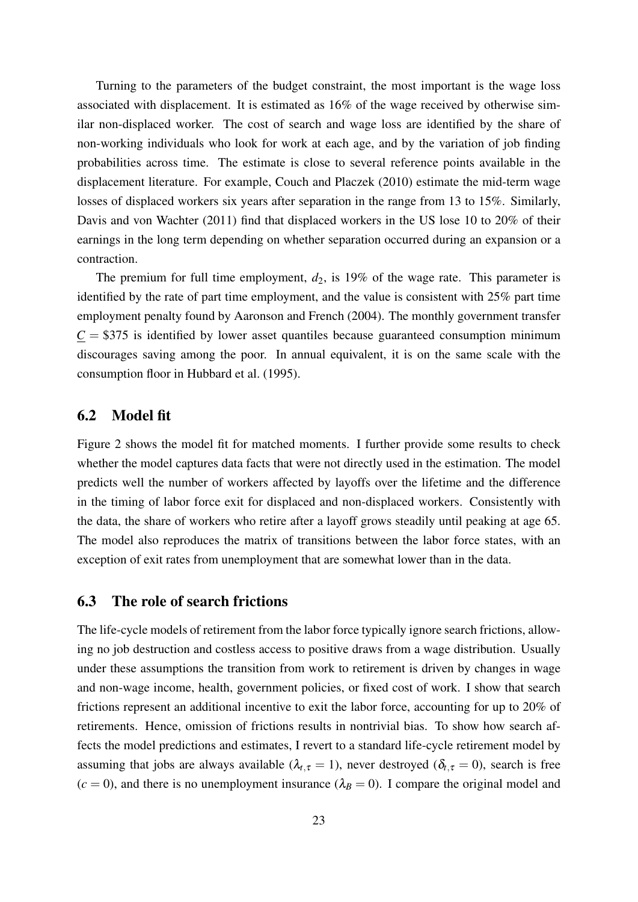Turning to the parameters of the budget constraint, the most important is the wage loss associated with displacement. It is estimated as 16% of the wage received by otherwise similar non-displaced worker. The cost of search and wage loss are identified by the share of non-working individuals who look for work at each age, and by the variation of job finding probabilities across time. The estimate is close to several reference points available in the displacement literature. For example, [Couch and Placzek](#page-32-2) [\(2010\)](#page-32-2) estimate the mid-term wage losses of displaced workers six years after separation in the range from 13 to 15%. Similarly, [Davis and von Wachter](#page-32-3) [\(2011\)](#page-32-3) find that displaced workers in the US lose 10 to 20% of their earnings in the long term depending on whether separation occurred during an expansion or a contraction.

The premium for full time employment,  $d_2$ , is 19% of the wage rate. This parameter is identified by the rate of part time employment, and the value is consistent with 25% part time employment penalty found by [Aaronson and French](#page-32-13) [\(2004\)](#page-32-13). The monthly government transfer  $C = $375$  is identified by lower asset quantiles because guaranteed consumption minimum discourages saving among the poor. In annual equivalent, it is on the same scale with the consumption floor in [Hubbard et al.](#page-33-10) [\(1995\)](#page-33-10).

## 6.2 Model fit

Figure [2](#page-37-0) shows the model fit for matched moments. I further provide some results to check whether the model captures data facts that were not directly used in the estimation. The model predicts well the number of workers affected by layoffs over the lifetime and the difference in the timing of labor force exit for displaced and non-displaced workers. Consistently with the data, the share of workers who retire after a layoff grows steadily until peaking at age 65. The model also reproduces the matrix of transitions between the labor force states, with an exception of exit rates from unemployment that are somewhat lower than in the data.

## <span id="page-23-0"></span>6.3 The role of search frictions

The life-cycle models of retirement from the labor force typically ignore search frictions, allowing no job destruction and costless access to positive draws from a wage distribution. Usually under these assumptions the transition from work to retirement is driven by changes in wage and non-wage income, health, government policies, or fixed cost of work. I show that search frictions represent an additional incentive to exit the labor force, accounting for up to 20% of retirements. Hence, omission of frictions results in nontrivial bias. To show how search affects the model predictions and estimates, I revert to a standard life-cycle retirement model by assuming that jobs are always available ( $\lambda_{t,\tau} = 1$ ), never destroyed ( $\delta_{t,\tau} = 0$ ), search is free  $(c = 0)$ , and there is no unemployment insurance  $(\lambda_B = 0)$ . I compare the original model and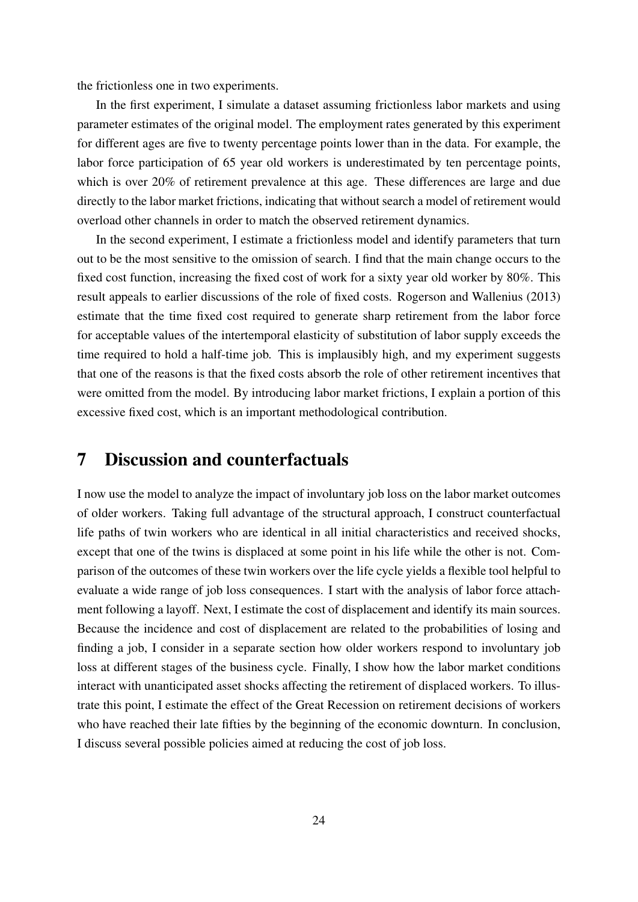the frictionless one in two experiments.

In the first experiment, I simulate a dataset assuming frictionless labor markets and using parameter estimates of the original model. The employment rates generated by this experiment for different ages are five to twenty percentage points lower than in the data. For example, the labor force participation of 65 year old workers is underestimated by ten percentage points, which is over 20% of retirement prevalence at this age. These differences are large and due directly to the labor market frictions, indicating that without search a model of retirement would overload other channels in order to match the observed retirement dynamics.

In the second experiment, I estimate a frictionless model and identify parameters that turn out to be the most sensitive to the omission of search. I find that the main change occurs to the fixed cost function, increasing the fixed cost of work for a sixty year old worker by 80%. This result appeals to earlier discussions of the role of fixed costs. [Rogerson and Wallenius](#page-34-0) [\(2013\)](#page-34-0) estimate that the time fixed cost required to generate sharp retirement from the labor force for acceptable values of the intertemporal elasticity of substitution of labor supply exceeds the time required to hold a half-time job. This is implausibly high, and my experiment suggests that one of the reasons is that the fixed costs absorb the role of other retirement incentives that were omitted from the model. By introducing labor market frictions, I explain a portion of this excessive fixed cost, which is an important methodological contribution.

## 7 Discussion and counterfactuals

I now use the model to analyze the impact of involuntary job loss on the labor market outcomes of older workers. Taking full advantage of the structural approach, I construct counterfactual life paths of twin workers who are identical in all initial characteristics and received shocks, except that one of the twins is displaced at some point in his life while the other is not. Comparison of the outcomes of these twin workers over the life cycle yields a flexible tool helpful to evaluate a wide range of job loss consequences. I start with the analysis of labor force attachment following a layoff. Next, I estimate the cost of displacement and identify its main sources. Because the incidence and cost of displacement are related to the probabilities of losing and finding a job, I consider in a separate section how older workers respond to involuntary job loss at different stages of the business cycle. Finally, I show how the labor market conditions interact with unanticipated asset shocks affecting the retirement of displaced workers. To illustrate this point, I estimate the effect of the Great Recession on retirement decisions of workers who have reached their late fifties by the beginning of the economic downturn. In conclusion, I discuss several possible policies aimed at reducing the cost of job loss.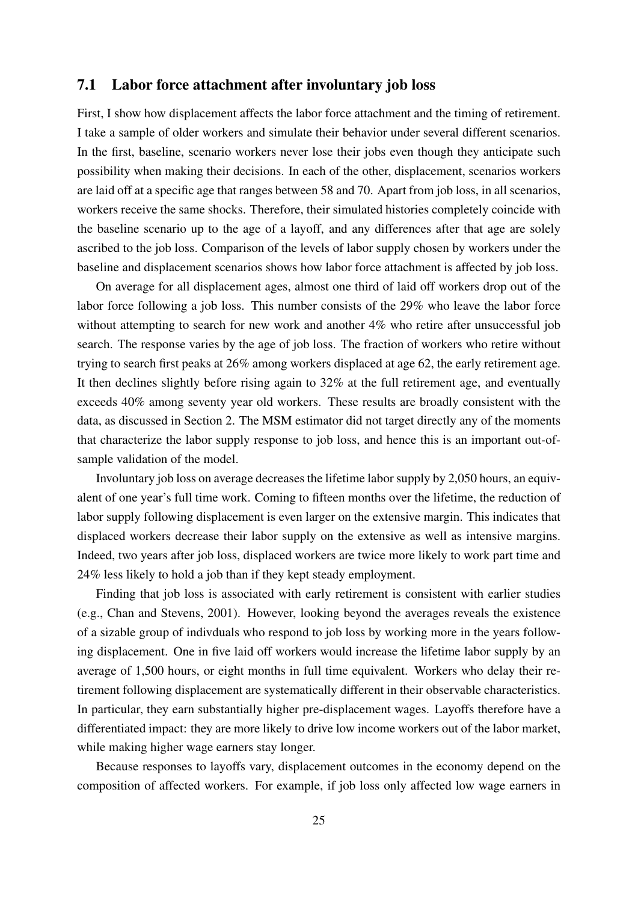## <span id="page-25-0"></span>7.1 Labor force attachment after involuntary job loss

First, I show how displacement affects the labor force attachment and the timing of retirement. I take a sample of older workers and simulate their behavior under several different scenarios. In the first, baseline, scenario workers never lose their jobs even though they anticipate such possibility when making their decisions. In each of the other, displacement, scenarios workers are laid off at a specific age that ranges between 58 and 70. Apart from job loss, in all scenarios, workers receive the same shocks. Therefore, their simulated histories completely coincide with the baseline scenario up to the age of a layoff, and any differences after that age are solely ascribed to the job loss. Comparison of the levels of labor supply chosen by workers under the baseline and displacement scenarios shows how labor force attachment is affected by job loss.

On average for all displacement ages, almost one third of laid off workers drop out of the labor force following a job loss. This number consists of the 29% who leave the labor force without attempting to search for new work and another 4% who retire after unsuccessful job search. The response varies by the age of job loss. The fraction of workers who retire without trying to search first peaks at 26% among workers displaced at age 62, the early retirement age. It then declines slightly before rising again to 32% at the full retirement age, and eventually exceeds 40% among seventy year old workers. These results are broadly consistent with the data, as discussed in Section [2.](#page-3-0) The MSM estimator did not target directly any of the moments that characterize the labor supply response to job loss, and hence this is an important out-ofsample validation of the model.

Involuntary job loss on average decreases the lifetime labor supply by 2,050 hours, an equivalent of one year's full time work. Coming to fifteen months over the lifetime, the reduction of labor supply following displacement is even larger on the extensive margin. This indicates that displaced workers decrease their labor supply on the extensive as well as intensive margins. Indeed, two years after job loss, displaced workers are twice more likely to work part time and 24% less likely to hold a job than if they kept steady employment.

Finding that job loss is associated with early retirement is consistent with earlier studies (e.g., [Chan and Stevens, 2001\)](#page-32-4). However, looking beyond the averages reveals the existence of a sizable group of indivduals who respond to job loss by working more in the years following displacement. One in five laid off workers would increase the lifetime labor supply by an average of 1,500 hours, or eight months in full time equivalent. Workers who delay their retirement following displacement are systematically different in their observable characteristics. In particular, they earn substantially higher pre-displacement wages. Layoffs therefore have a differentiated impact: they are more likely to drive low income workers out of the labor market, while making higher wage earners stay longer.

Because responses to layoffs vary, displacement outcomes in the economy depend on the composition of affected workers. For example, if job loss only affected low wage earners in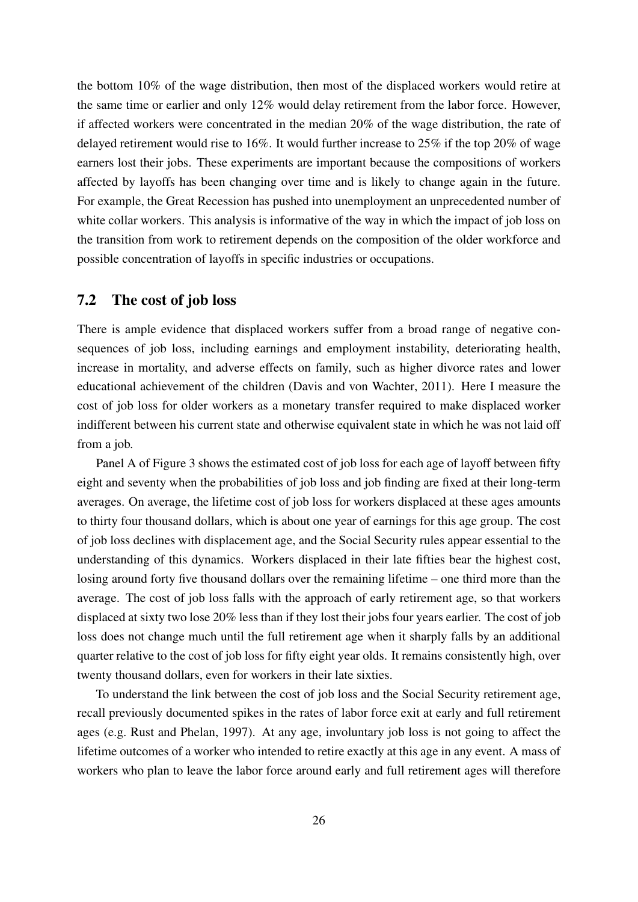the bottom 10% of the wage distribution, then most of the displaced workers would retire at the same time or earlier and only 12% would delay retirement from the labor force. However, if affected workers were concentrated in the median 20% of the wage distribution, the rate of delayed retirement would rise to 16%. It would further increase to 25% if the top 20% of wage earners lost their jobs. These experiments are important because the compositions of workers affected by layoffs has been changing over time and is likely to change again in the future. For example, the Great Recession has pushed into unemployment an unprecedented number of white collar workers. This analysis is informative of the way in which the impact of job loss on the transition from work to retirement depends on the composition of the older workforce and possible concentration of layoffs in specific industries or occupations.

## <span id="page-26-0"></span>7.2 The cost of job loss

There is ample evidence that displaced workers suffer from a broad range of negative consequences of job loss, including earnings and employment instability, deteriorating health, increase in mortality, and adverse effects on family, such as higher divorce rates and lower educational achievement of the children [\(Davis and von Wachter, 2011\)](#page-32-3). Here I measure the cost of job loss for older workers as a monetary transfer required to make displaced worker indifferent between his current state and otherwise equivalent state in which he was not laid off from a job.

Panel A of Figure [3](#page-38-0) shows the estimated cost of job loss for each age of layoff between fifty eight and seventy when the probabilities of job loss and job finding are fixed at their long-term averages. On average, the lifetime cost of job loss for workers displaced at these ages amounts to thirty four thousand dollars, which is about one year of earnings for this age group. The cost of job loss declines with displacement age, and the Social Security rules appear essential to the understanding of this dynamics. Workers displaced in their late fifties bear the highest cost, losing around forty five thousand dollars over the remaining lifetime – one third more than the average. The cost of job loss falls with the approach of early retirement age, so that workers displaced at sixty two lose 20% less than if they lost their jobs four years earlier. The cost of job loss does not change much until the full retirement age when it sharply falls by an additional quarter relative to the cost of job loss for fifty eight year olds. It remains consistently high, over twenty thousand dollars, even for workers in their late sixties.

To understand the link between the cost of job loss and the Social Security retirement age, recall previously documented spikes in the rates of labor force exit at early and full retirement ages (e.g. [Rust and Phelan, 1997\)](#page-34-1). At any age, involuntary job loss is not going to affect the lifetime outcomes of a worker who intended to retire exactly at this age in any event. A mass of workers who plan to leave the labor force around early and full retirement ages will therefore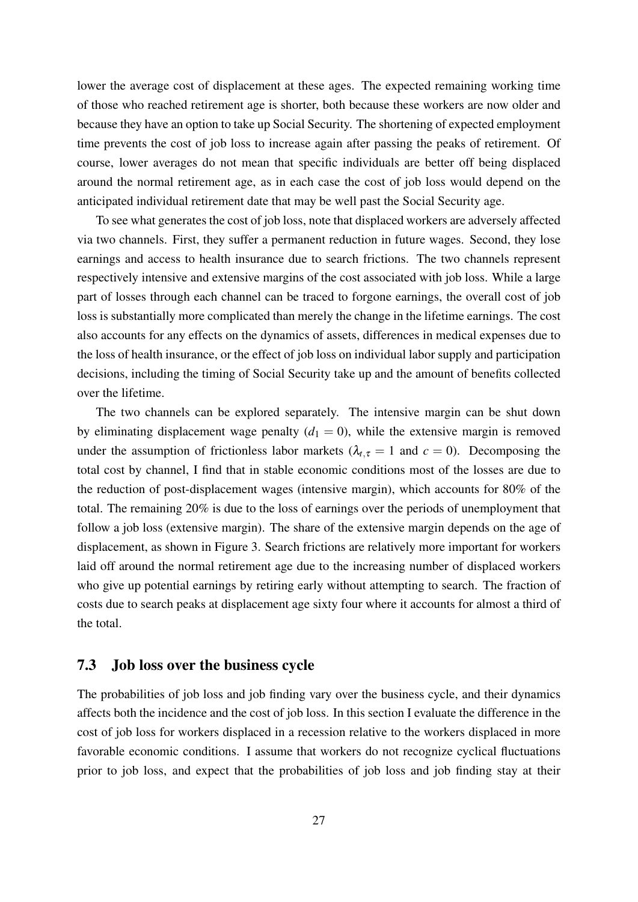lower the average cost of displacement at these ages. The expected remaining working time of those who reached retirement age is shorter, both because these workers are now older and because they have an option to take up Social Security. The shortening of expected employment time prevents the cost of job loss to increase again after passing the peaks of retirement. Of course, lower averages do not mean that specific individuals are better off being displaced around the normal retirement age, as in each case the cost of job loss would depend on the anticipated individual retirement date that may be well past the Social Security age.

To see what generates the cost of job loss, note that displaced workers are adversely affected via two channels. First, they suffer a permanent reduction in future wages. Second, they lose earnings and access to health insurance due to search frictions. The two channels represent respectively intensive and extensive margins of the cost associated with job loss. While a large part of losses through each channel can be traced to forgone earnings, the overall cost of job loss is substantially more complicated than merely the change in the lifetime earnings. The cost also accounts for any effects on the dynamics of assets, differences in medical expenses due to the loss of health insurance, or the effect of job loss on individual labor supply and participation decisions, including the timing of Social Security take up and the amount of benefits collected over the lifetime.

The two channels can be explored separately. The intensive margin can be shut down by eliminating displacement wage penalty  $(d_1 = 0)$ , while the extensive margin is removed under the assumption of frictionless labor markets ( $\lambda_{t,\tau} = 1$  and  $c = 0$ ). Decomposing the total cost by channel, I find that in stable economic conditions most of the losses are due to the reduction of post-displacement wages (intensive margin), which accounts for 80% of the total. The remaining 20% is due to the loss of earnings over the periods of unemployment that follow a job loss (extensive margin). The share of the extensive margin depends on the age of displacement, as shown in Figure [3.](#page-38-0) Search frictions are relatively more important for workers laid off around the normal retirement age due to the increasing number of displaced workers who give up potential earnings by retiring early without attempting to search. The fraction of costs due to search peaks at displacement age sixty four where it accounts for almost a third of the total.

## 7.3 Job loss over the business cycle

The probabilities of job loss and job finding vary over the business cycle, and their dynamics affects both the incidence and the cost of job loss. In this section I evaluate the difference in the cost of job loss for workers displaced in a recession relative to the workers displaced in more favorable economic conditions. I assume that workers do not recognize cyclical fluctuations prior to job loss, and expect that the probabilities of job loss and job finding stay at their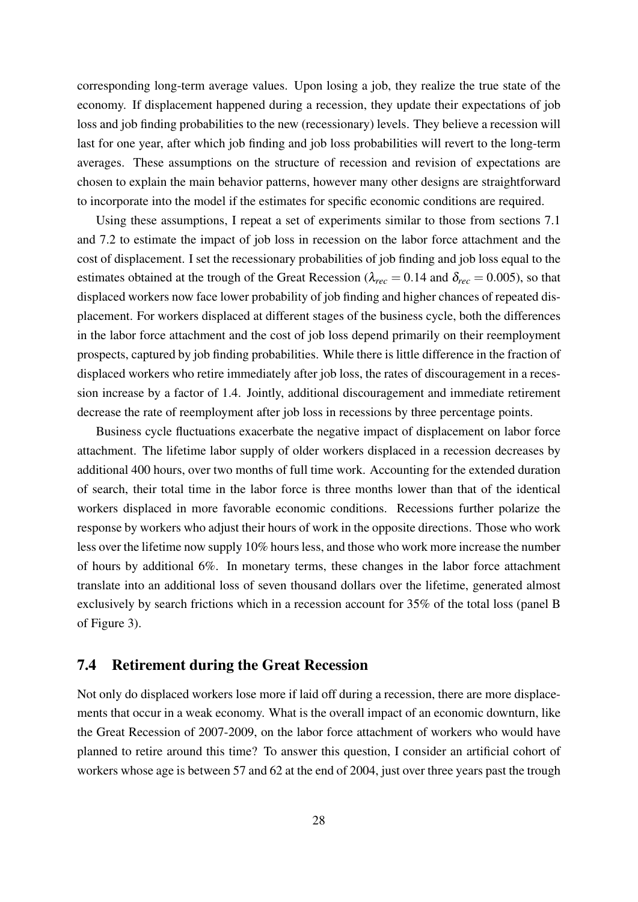corresponding long-term average values. Upon losing a job, they realize the true state of the economy. If displacement happened during a recession, they update their expectations of job loss and job finding probabilities to the new (recessionary) levels. They believe a recession will last for one year, after which job finding and job loss probabilities will revert to the long-term averages. These assumptions on the structure of recession and revision of expectations are chosen to explain the main behavior patterns, however many other designs are straightforward to incorporate into the model if the estimates for specific economic conditions are required.

Using these assumptions, I repeat a set of experiments similar to those from sections [7.1](#page-25-0) and [7.2](#page-26-0) to estimate the impact of job loss in recession on the labor force attachment and the cost of displacement. I set the recessionary probabilities of job finding and job loss equal to the estimates obtained at the trough of the Great Recession ( $\lambda_{rec} = 0.14$  and  $\delta_{rec} = 0.005$ ), so that displaced workers now face lower probability of job finding and higher chances of repeated displacement. For workers displaced at different stages of the business cycle, both the differences in the labor force attachment and the cost of job loss depend primarily on their reemployment prospects, captured by job finding probabilities. While there is little difference in the fraction of displaced workers who retire immediately after job loss, the rates of discouragement in a recession increase by a factor of 1.4. Jointly, additional discouragement and immediate retirement decrease the rate of reemployment after job loss in recessions by three percentage points.

Business cycle fluctuations exacerbate the negative impact of displacement on labor force attachment. The lifetime labor supply of older workers displaced in a recession decreases by additional 400 hours, over two months of full time work. Accounting for the extended duration of search, their total time in the labor force is three months lower than that of the identical workers displaced in more favorable economic conditions. Recessions further polarize the response by workers who adjust their hours of work in the opposite directions. Those who work less over the lifetime now supply 10% hours less, and those who work more increase the number of hours by additional 6%. In monetary terms, these changes in the labor force attachment translate into an additional loss of seven thousand dollars over the lifetime, generated almost exclusively by search frictions which in a recession account for 35% of the total loss (panel B of Figure [3\)](#page-38-0).

## 7.4 Retirement during the Great Recession

Not only do displaced workers lose more if laid off during a recession, there are more displacements that occur in a weak economy. What is the overall impact of an economic downturn, like the Great Recession of 2007-2009, on the labor force attachment of workers who would have planned to retire around this time? To answer this question, I consider an artificial cohort of workers whose age is between 57 and 62 at the end of 2004, just over three years past the trough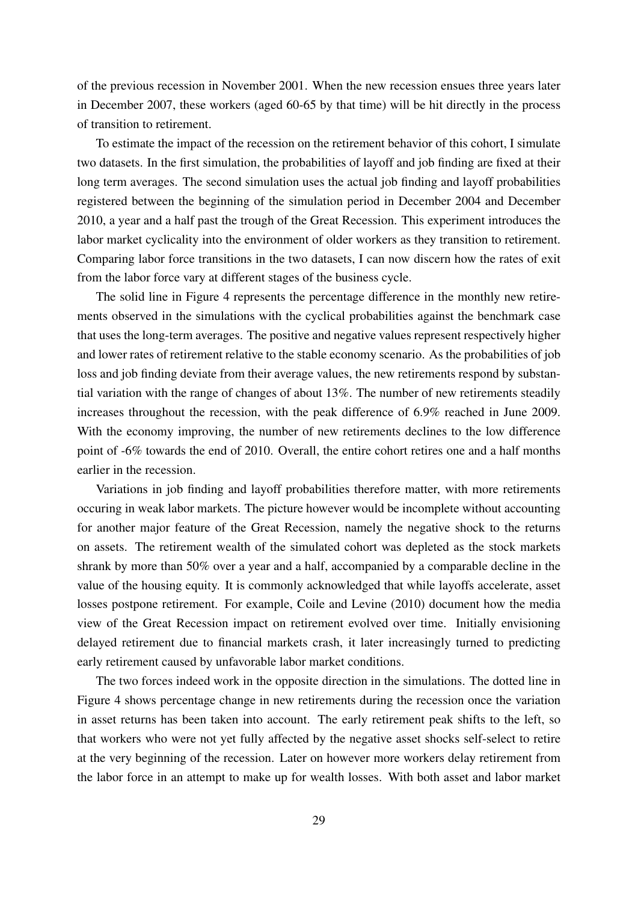of the previous recession in November 2001. When the new recession ensues three years later in December 2007, these workers (aged 60-65 by that time) will be hit directly in the process of transition to retirement.

To estimate the impact of the recession on the retirement behavior of this cohort, I simulate two datasets. In the first simulation, the probabilities of layoff and job finding are fixed at their long term averages. The second simulation uses the actual job finding and layoff probabilities registered between the beginning of the simulation period in December 2004 and December 2010, a year and a half past the trough of the Great Recession. This experiment introduces the labor market cyclicality into the environment of older workers as they transition to retirement. Comparing labor force transitions in the two datasets, I can now discern how the rates of exit from the labor force vary at different stages of the business cycle.

The solid line in Figure [4](#page-39-0) represents the percentage difference in the monthly new retirements observed in the simulations with the cyclical probabilities against the benchmark case that uses the long-term averages. The positive and negative values represent respectively higher and lower rates of retirement relative to the stable economy scenario. As the probabilities of job loss and job finding deviate from their average values, the new retirements respond by substantial variation with the range of changes of about 13%. The number of new retirements steadily increases throughout the recession, with the peak difference of 6.9% reached in June 2009. With the economy improving, the number of new retirements declines to the low difference point of -6% towards the end of 2010. Overall, the entire cohort retires one and a half months earlier in the recession.

Variations in job finding and layoff probabilities therefore matter, with more retirements occuring in weak labor markets. The picture however would be incomplete without accounting for another major feature of the Great Recession, namely the negative shock to the returns on assets. The retirement wealth of the simulated cohort was depleted as the stock markets shrank by more than 50% over a year and a half, accompanied by a comparable decline in the value of the housing equity. It is commonly acknowledged that while layoffs accelerate, asset losses postpone retirement. For example, Coile and Levine (2010) document how the media view of the Great Recession impact on retirement evolved over time. Initially envisioning delayed retirement due to financial markets crash, it later increasingly turned to predicting early retirement caused by unfavorable labor market conditions.

The two forces indeed work in the opposite direction in the simulations. The dotted line in Figure [4](#page-39-0) shows percentage change in new retirements during the recession once the variation in asset returns has been taken into account. The early retirement peak shifts to the left, so that workers who were not yet fully affected by the negative asset shocks self-select to retire at the very beginning of the recession. Later on however more workers delay retirement from the labor force in an attempt to make up for wealth losses. With both asset and labor market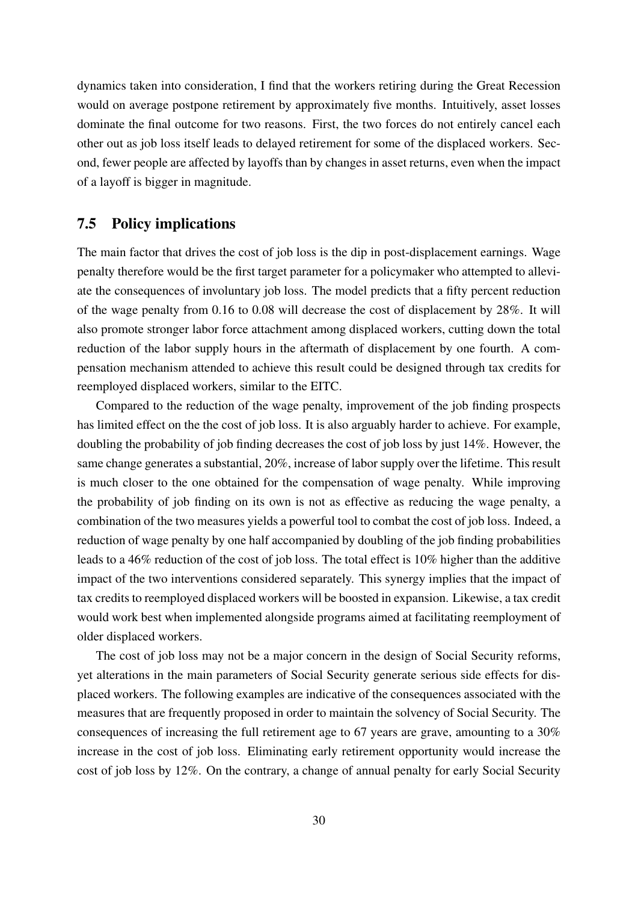dynamics taken into consideration, I find that the workers retiring during the Great Recession would on average postpone retirement by approximately five months. Intuitively, asset losses dominate the final outcome for two reasons. First, the two forces do not entirely cancel each other out as job loss itself leads to delayed retirement for some of the displaced workers. Second, fewer people are affected by layoffs than by changes in asset returns, even when the impact of a layoff is bigger in magnitude.

## 7.5 Policy implications

The main factor that drives the cost of job loss is the dip in post-displacement earnings. Wage penalty therefore would be the first target parameter for a policymaker who attempted to alleviate the consequences of involuntary job loss. The model predicts that a fifty percent reduction of the wage penalty from 0.16 to 0.08 will decrease the cost of displacement by 28%. It will also promote stronger labor force attachment among displaced workers, cutting down the total reduction of the labor supply hours in the aftermath of displacement by one fourth. A compensation mechanism attended to achieve this result could be designed through tax credits for reemployed displaced workers, similar to the EITC.

Compared to the reduction of the wage penalty, improvement of the job finding prospects has limited effect on the the cost of job loss. It is also arguably harder to achieve. For example, doubling the probability of job finding decreases the cost of job loss by just 14%. However, the same change generates a substantial, 20%, increase of labor supply over the lifetime. This result is much closer to the one obtained for the compensation of wage penalty. While improving the probability of job finding on its own is not as effective as reducing the wage penalty, a combination of the two measures yields a powerful tool to combat the cost of job loss. Indeed, a reduction of wage penalty by one half accompanied by doubling of the job finding probabilities leads to a 46% reduction of the cost of job loss. The total effect is 10% higher than the additive impact of the two interventions considered separately. This synergy implies that the impact of tax credits to reemployed displaced workers will be boosted in expansion. Likewise, a tax credit would work best when implemented alongside programs aimed at facilitating reemployment of older displaced workers.

The cost of job loss may not be a major concern in the design of Social Security reforms, yet alterations in the main parameters of Social Security generate serious side effects for displaced workers. The following examples are indicative of the consequences associated with the measures that are frequently proposed in order to maintain the solvency of Social Security. The consequences of increasing the full retirement age to 67 years are grave, amounting to a 30% increase in the cost of job loss. Eliminating early retirement opportunity would increase the cost of job loss by 12%. On the contrary, a change of annual penalty for early Social Security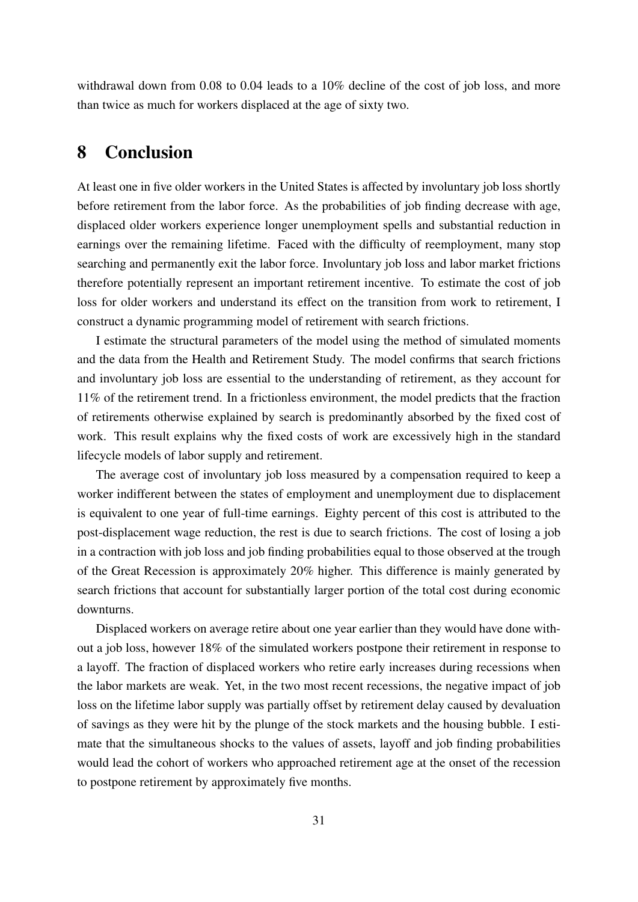withdrawal down from 0.08 to 0.04 leads to a 10% decline of the cost of job loss, and more than twice as much for workers displaced at the age of sixty two.

## 8 Conclusion

At least one in five older workers in the United States is affected by involuntary job loss shortly before retirement from the labor force. As the probabilities of job finding decrease with age, displaced older workers experience longer unemployment spells and substantial reduction in earnings over the remaining lifetime. Faced with the difficulty of reemployment, many stop searching and permanently exit the labor force. Involuntary job loss and labor market frictions therefore potentially represent an important retirement incentive. To estimate the cost of job loss for older workers and understand its effect on the transition from work to retirement, I construct a dynamic programming model of retirement with search frictions.

I estimate the structural parameters of the model using the method of simulated moments and the data from the Health and Retirement Study. The model confirms that search frictions and involuntary job loss are essential to the understanding of retirement, as they account for 11% of the retirement trend. In a frictionless environment, the model predicts that the fraction of retirements otherwise explained by search is predominantly absorbed by the fixed cost of work. This result explains why the fixed costs of work are excessively high in the standard lifecycle models of labor supply and retirement.

The average cost of involuntary job loss measured by a compensation required to keep a worker indifferent between the states of employment and unemployment due to displacement is equivalent to one year of full-time earnings. Eighty percent of this cost is attributed to the post-displacement wage reduction, the rest is due to search frictions. The cost of losing a job in a contraction with job loss and job finding probabilities equal to those observed at the trough of the Great Recession is approximately 20% higher. This difference is mainly generated by search frictions that account for substantially larger portion of the total cost during economic downturns.

Displaced workers on average retire about one year earlier than they would have done without a job loss, however 18% of the simulated workers postpone their retirement in response to a layoff. The fraction of displaced workers who retire early increases during recessions when the labor markets are weak. Yet, in the two most recent recessions, the negative impact of job loss on the lifetime labor supply was partially offset by retirement delay caused by devaluation of savings as they were hit by the plunge of the stock markets and the housing bubble. I estimate that the simultaneous shocks to the values of assets, layoff and job finding probabilities would lead the cohort of workers who approached retirement age at the onset of the recession to postpone retirement by approximately five months.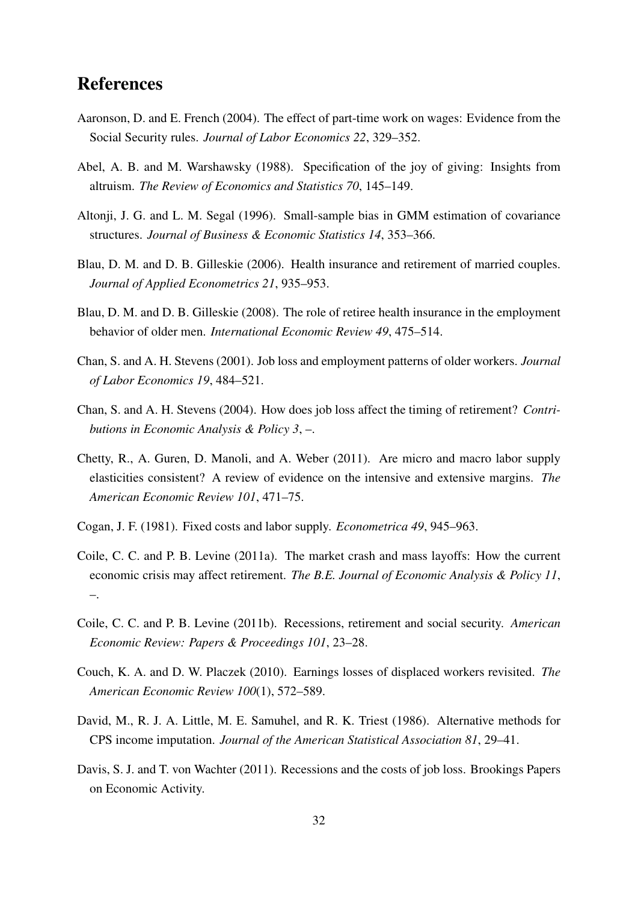## References

- <span id="page-32-13"></span>Aaronson, D. and E. French (2004). The effect of part-time work on wages: Evidence from the Social Security rules. *Journal of Labor Economics 22*, 329–352.
- <span id="page-32-8"></span>Abel, A. B. and M. Warshawsky (1988). Specification of the joy of giving: Insights from altruism. *The Review of Economics and Statistics 70*, 145–149.
- <span id="page-32-11"></span>Altonji, J. G. and L. M. Segal (1996). Small-sample bias in GMM estimation of covariance structures. *Journal of Business & Economic Statistics 14*, 353–366.
- <span id="page-32-0"></span>Blau, D. M. and D. B. Gilleskie (2006). Health insurance and retirement of married couples. *Journal of Applied Econometrics 21*, 935–953.
- <span id="page-32-1"></span>Blau, D. M. and D. B. Gilleskie (2008). The role of retiree health insurance in the employment behavior of older men. *International Economic Review 49*, 475–514.
- <span id="page-32-4"></span>Chan, S. and A. H. Stevens (2001). Job loss and employment patterns of older workers. *Journal of Labor Economics 19*, 484–521.
- <span id="page-32-5"></span>Chan, S. and A. H. Stevens (2004). How does job loss affect the timing of retirement? *Contributions in Economic Analysis & Policy 3*, –.
- <span id="page-32-12"></span>Chetty, R., A. Guren, D. Manoli, and A. Weber (2011). Are micro and macro labor supply elasticities consistent? A review of evidence on the intensive and extensive margins. *The American Economic Review 101*, 471–75.
- <span id="page-32-9"></span>Cogan, J. F. (1981). Fixed costs and labor supply. *Econometrica 49*, 945–963.
- <span id="page-32-6"></span>Coile, C. C. and P. B. Levine (2011a). The market crash and mass layoffs: How the current economic crisis may affect retirement. *The B.E. Journal of Economic Analysis & Policy 11*, –.
- <span id="page-32-7"></span>Coile, C. C. and P. B. Levine (2011b). Recessions, retirement and social security. *American Economic Review: Papers & Proceedings 101*, 23–28.
- <span id="page-32-2"></span>Couch, K. A. and D. W. Placzek (2010). Earnings losses of displaced workers revisited. *The American Economic Review 100*(1), 572–589.
- <span id="page-32-10"></span>David, M., R. J. A. Little, M. E. Samuhel, and R. K. Triest (1986). Alternative methods for CPS income imputation. *Journal of the American Statistical Association 81*, 29–41.
- <span id="page-32-3"></span>Davis, S. J. and T. von Wachter (2011). Recessions and the costs of job loss. Brookings Papers on Economic Activity.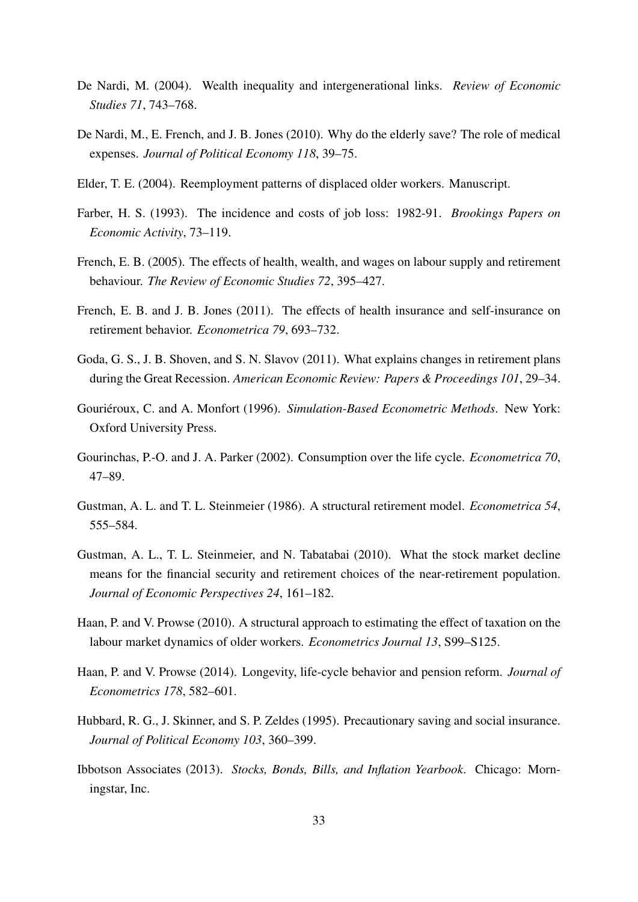- <span id="page-33-8"></span>De Nardi, M. (2004). Wealth inequality and intergenerational links. *Review of Economic Studies 71*, 743–768.
- <span id="page-33-9"></span>De Nardi, M., E. French, and J. B. Jones (2010). Why do the elderly save? The role of medical expenses. *Journal of Political Economy 118*, 39–75.
- <span id="page-33-5"></span>Elder, T. E. (2004). Reemployment patterns of displaced older workers. Manuscript.
- <span id="page-33-4"></span>Farber, H. S. (1993). The incidence and costs of job loss: 1982-91. *Brookings Papers on Economic Activity*, 73–119.
- <span id="page-33-14"></span>French, E. B. (2005). The effects of health, wealth, and wages on labour supply and retirement behaviour. *The Review of Economic Studies 72*, 395–427.
- <span id="page-33-0"></span>French, E. B. and J. B. Jones (2011). The effects of health insurance and self-insurance on retirement behavior. *Econometrica 79*, 693–732.
- <span id="page-33-6"></span>Goda, G. S., J. B. Shoven, and S. N. Slavov (2011). What explains changes in retirement plans during the Great Recession. *American Economic Review: Papers & Proceedings 101*, 29–34.
- <span id="page-33-12"></span>Gouriéroux, C. and A. Monfort (1996). Simulation-Based Econometric Methods. New York: Oxford University Press.
- <span id="page-33-11"></span>Gourinchas, P.-O. and J. A. Parker (2002). Consumption over the life cycle. *Econometrica 70*, 47–89.
- <span id="page-33-1"></span>Gustman, A. L. and T. L. Steinmeier (1986). A structural retirement model. *Econometrica 54*, 555–584.
- <span id="page-33-7"></span>Gustman, A. L., T. L. Steinmeier, and N. Tabatabai (2010). What the stock market decline means for the financial security and retirement choices of the near-retirement population. *Journal of Economic Perspectives 24*, 161–182.
- <span id="page-33-2"></span>Haan, P. and V. Prowse (2010). A structural approach to estimating the effect of taxation on the labour market dynamics of older workers. *Econometrics Journal 13*, S99–S125.
- <span id="page-33-3"></span>Haan, P. and V. Prowse (2014). Longevity, life-cycle behavior and pension reform. *Journal of Econometrics 178*, 582–601.
- <span id="page-33-10"></span>Hubbard, R. G., J. Skinner, and S. P. Zeldes (1995). Precautionary saving and social insurance. *Journal of Political Economy 103*, 360–399.
- <span id="page-33-13"></span>Ibbotson Associates (2013). *Stocks, Bonds, Bills, and Inflation Yearbook*. Chicago: Morningstar, Inc.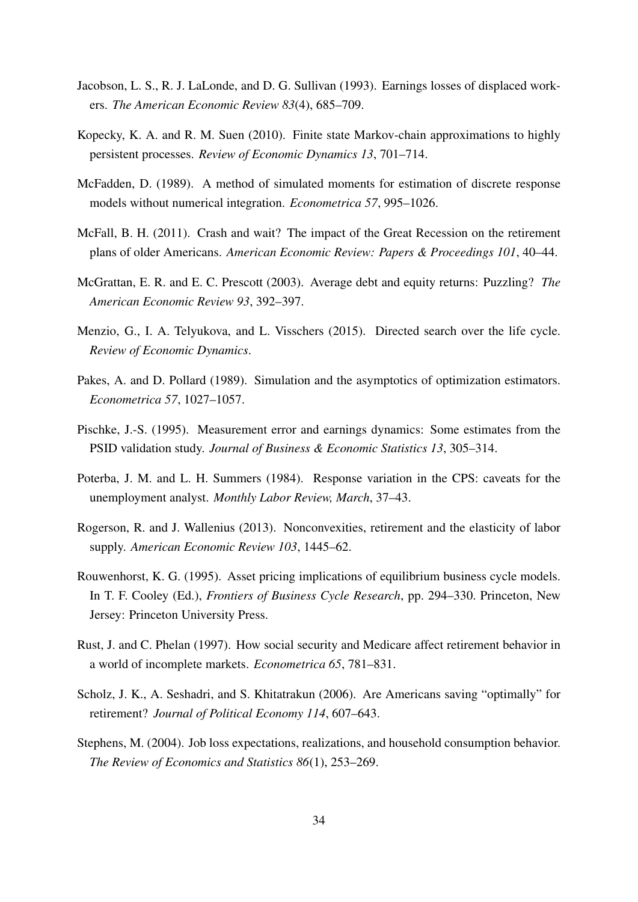- <span id="page-34-3"></span>Jacobson, L. S., R. J. LaLonde, and D. G. Sullivan (1993). Earnings losses of displaced workers. *The American Economic Review 83*(4), 685–709.
- <span id="page-34-10"></span>Kopecky, K. A. and R. M. Suen (2010). Finite state Markov-chain approximations to highly persistent processes. *Review of Economic Dynamics 13*, 701–714.
- <span id="page-34-7"></span>McFadden, D. (1989). A method of simulated moments for estimation of discrete response models without numerical integration. *Econometrica 57*, 995–1026.
- <span id="page-34-4"></span>McFall, B. H. (2011). Crash and wait? The impact of the Great Recession on the retirement plans of older Americans. *American Economic Review: Papers & Proceedings 101*, 40–44.
- <span id="page-34-12"></span>McGrattan, E. R. and E. C. Prescott (2003). Average debt and equity returns: Puzzling? *The American Economic Review 93*, 392–397.
- <span id="page-34-11"></span>Menzio, G., I. A. Telyukova, and L. Visschers (2015). Directed search over the life cycle. *Review of Economic Dynamics*.
- <span id="page-34-8"></span>Pakes, A. and D. Pollard (1989). Simulation and the asymptotics of optimization estimators. *Econometrica 57*, 1027–1057.
- <span id="page-34-13"></span>Pischke, J.-S. (1995). Measurement error and earnings dynamics: Some estimates from the PSID validation study. *Journal of Business & Economic Statistics 13*, 305–314.
- <span id="page-34-5"></span>Poterba, J. M. and L. H. Summers (1984). Response variation in the CPS: caveats for the unemployment analyst. *Monthly Labor Review, March*, 37–43.
- <span id="page-34-0"></span>Rogerson, R. and J. Wallenius (2013). Nonconvexities, retirement and the elasticity of labor supply. *American Economic Review 103*, 1445–62.
- <span id="page-34-9"></span>Rouwenhorst, K. G. (1995). Asset pricing implications of equilibrium business cycle models. In T. F. Cooley (Ed.), *Frontiers of Business Cycle Research*, pp. 294–330. Princeton, New Jersey: Princeton University Press.
- <span id="page-34-1"></span>Rust, J. and C. Phelan (1997). How social security and Medicare affect retirement behavior in a world of incomplete markets. *Econometrica 65*, 781–831.
- <span id="page-34-2"></span>Scholz, J. K., A. Seshadri, and S. Khitatrakun (2006). Are Americans saving "optimally" for retirement? *Journal of Political Economy 114*, 607–643.
- <span id="page-34-6"></span>Stephens, M. (2004). Job loss expectations, realizations, and household consumption behavior. *The Review of Economics and Statistics 86*(1), 253–269.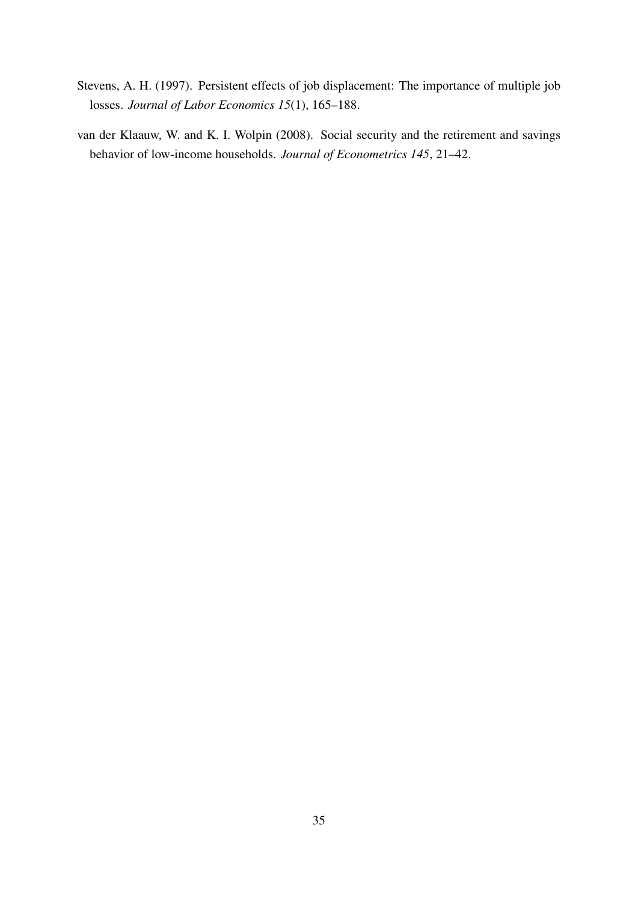- <span id="page-35-1"></span>Stevens, A. H. (1997). Persistent effects of job displacement: The importance of multiple job losses. *Journal of Labor Economics 15*(1), 165–188.
- <span id="page-35-0"></span>van der Klaauw, W. and K. I. Wolpin (2008). Social security and the retirement and savings behavior of low-income households. *Journal of Econometrics 145*, 21–42.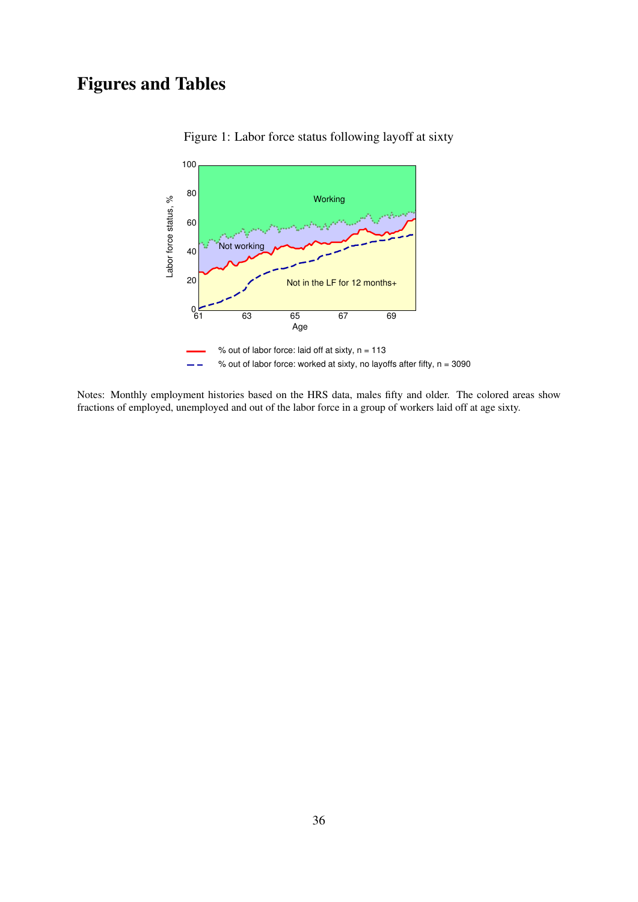# Figures and Tables



<span id="page-36-0"></span>Figure 1: Labor force status following layoff at sixty

Notes: Monthly employment histories based on the HRS data, males fifty and older. The colored areas show fractions of employed, unemployed and out of the labor force in a group of workers laid off at age sixty.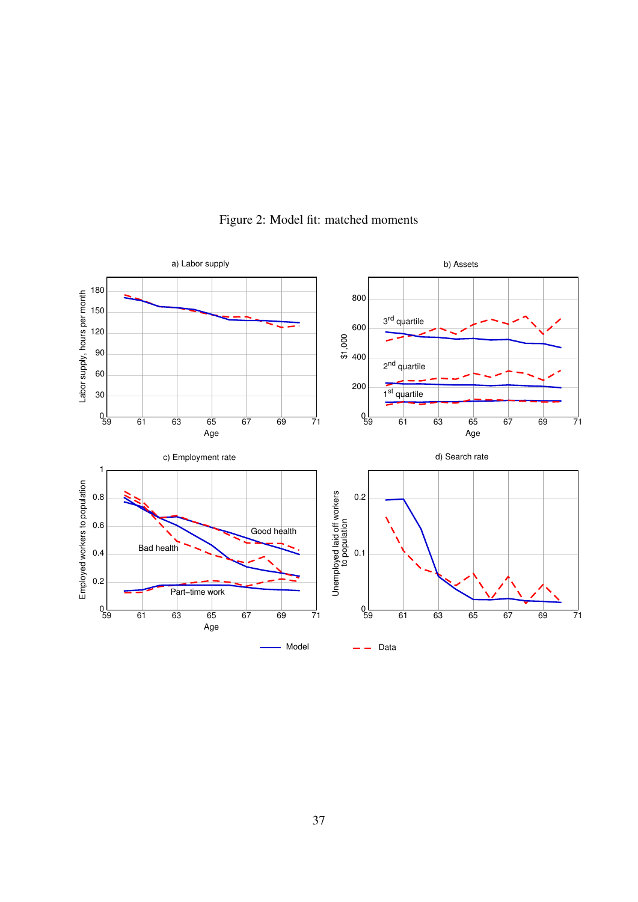

<span id="page-37-0"></span>Figure 2: Model fit: matched moments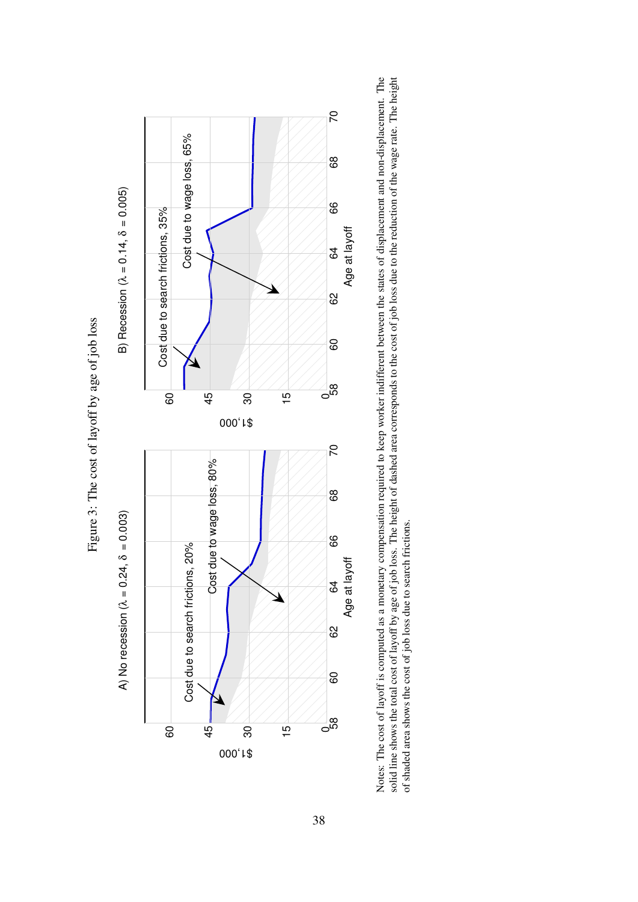

<span id="page-38-0"></span>Notes: The cost of layoff is computed as a monetary compensation required to keep worker indifferent between the states of displacement and non-displacement. The solid line shows the total cost of layoff by age of job loss. The height of dashed area corresponds to the cost of job loss due to the reduction of the wage rate. The height Notes: The cost of layoff is computed as a monetary compensation required to keep worker indifferent between the states of displacement and non-displacement. The solid line shows the total cost of layoff by age of job loss. The height of dashed area corresponds to the cost of job loss due to the reduction of the wage rate. The height of shaded area shows the cost of job loss due to search frictions. of shaded area shows the cost of job loss due to search frictions.

Figure 3: The cost of layoff by age of job loss Figure 3: The cost of layoff by age of job loss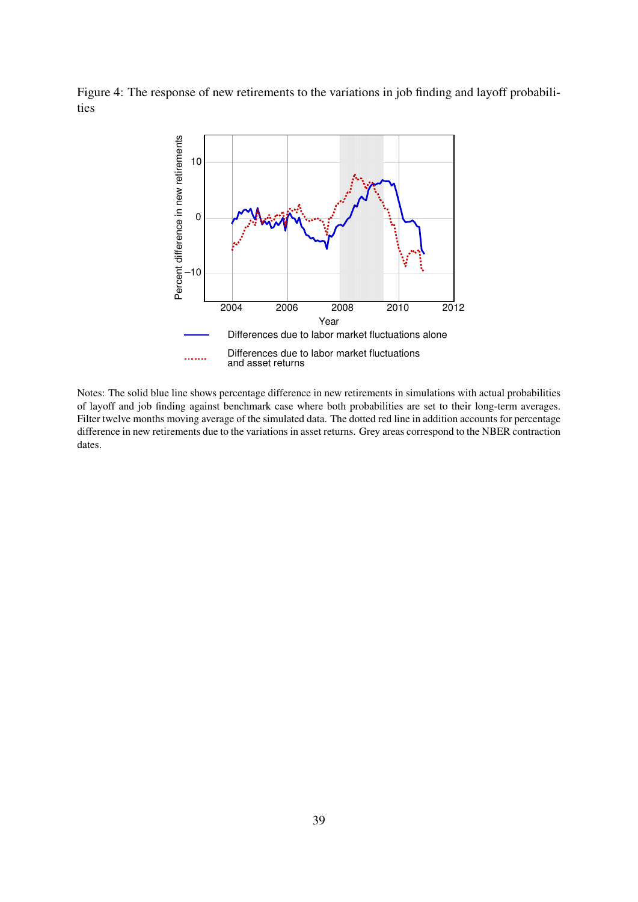Figure 4: The response of new retirements to the variations in job finding and layoff probabilities

<span id="page-39-0"></span>

Notes: The solid blue line shows percentage difference in new retirements in simulations with actual probabilities of layoff and job finding against benchmark case where both probabilities are set to their long-term averages. Filter twelve months moving average of the simulated data. The dotted red line in addition accounts for percentage difference in new retirements due to the variations in asset returns. Grey areas correspond to the NBER contraction dates.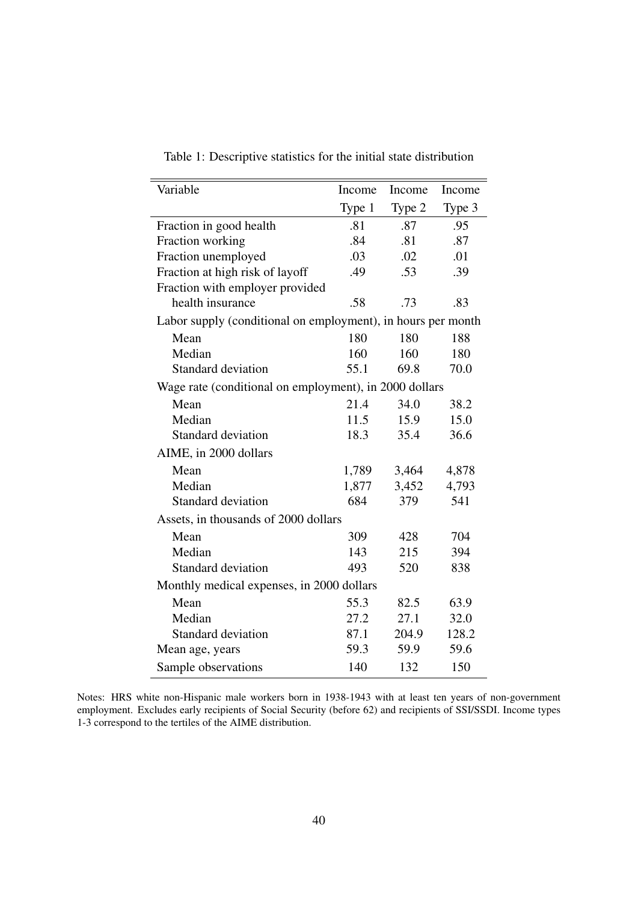| Variable                                                     | Income | Income | Income |
|--------------------------------------------------------------|--------|--------|--------|
|                                                              | Type 1 | Type 2 | Type 3 |
| Fraction in good health                                      | .81    | .87    | .95    |
| Fraction working                                             | .84    | .81    | .87    |
| Fraction unemployed                                          | .03    | .02    | .01    |
| Fraction at high risk of layoff                              | .49    | .53    | .39    |
| Fraction with employer provided                              |        |        |        |
| health insurance                                             | .58    | .73    | .83    |
| Labor supply (conditional on employment), in hours per month |        |        |        |
| Mean                                                         | 180    | 180    | 188    |
| Median                                                       | 160    | 160    | 180    |
| Standard deviation                                           | 55.1   | 69.8   | 70.0   |
| Wage rate (conditional on employment), in 2000 dollars       |        |        |        |
| Mean                                                         | 21.4   | 34.0   | 38.2   |
| Median                                                       | 11.5   | 15.9   | 15.0   |
| <b>Standard deviation</b>                                    | 18.3   | 35.4   | 36.6   |
| AIME, in 2000 dollars                                        |        |        |        |
| Mean                                                         | 1,789  | 3,464  | 4,878  |
| Median                                                       | 1,877  | 3,452  | 4,793  |
| Standard deviation                                           | 684    | 379    | 541    |
| Assets, in thousands of 2000 dollars                         |        |        |        |
| Mean                                                         | 309    | 428    | 704    |
| Median                                                       | 143    | 215    | 394    |
| <b>Standard deviation</b>                                    | 493    | 520    | 838    |
| Monthly medical expenses, in 2000 dollars                    |        |        |        |
| Mean                                                         | 55.3   | 82.5   | 63.9   |
| Median                                                       | 27.2   | 27.1   | 32.0   |
| <b>Standard deviation</b>                                    | 87.1   | 204.9  | 128.2  |
| Mean age, years                                              | 59.3   | 59.9   | 59.6   |
| Sample observations                                          | 140    | 132    | 150    |

Table 1: Descriptive statistics for the initial state distribution

Notes: HRS white non-Hispanic male workers born in 1938-1943 with at least ten years of non-government employment. Excludes early recipients of Social Security (before 62) and recipients of SSI/SSDI. Income types 1-3 correspond to the tertiles of the AIME distribution.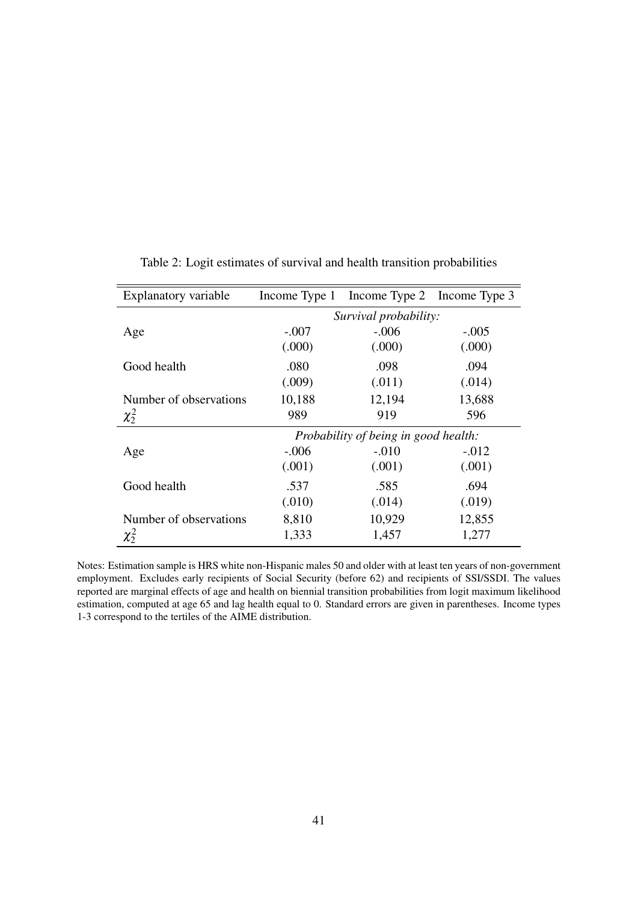| Explanatory variable   |                                      | Income Type 1 Income Type 2 Income Type 3 |         |  |
|------------------------|--------------------------------------|-------------------------------------------|---------|--|
|                        | Survival probability:                |                                           |         |  |
| Age                    | $-.007$                              | $-.006$                                   | $-.005$ |  |
|                        | (.000)                               | (.000)                                    | (.000)  |  |
| Good health            | .080                                 | .098                                      | .094    |  |
|                        | (.009)                               | (.011)                                    | (.014)  |  |
| Number of observations | 10,188                               | 12,194                                    | 13,688  |  |
| $\chi_2^2$             | 989                                  | 919                                       | 596     |  |
|                        | Probability of being in good health: |                                           |         |  |
| Age                    | $-.006$                              | $-.010$                                   | $-.012$ |  |
|                        | (.001)                               | (.001)                                    | (.001)  |  |
| Good health            | .537                                 | .585                                      | .694    |  |
|                        | (.010)                               | (.014)                                    | (.019)  |  |
| Number of observations | 8,810                                | 10,929                                    | 12,855  |  |
| $\chi^2$               | 1,333                                | 1,457                                     | 1,277   |  |

<span id="page-41-0"></span>Table 2: Logit estimates of survival and health transition probabilities

Notes: Estimation sample is HRS white non-Hispanic males 50 and older with at least ten years of non-government employment. Excludes early recipients of Social Security (before 62) and recipients of SSI/SSDI. The values reported are marginal effects of age and health on biennial transition probabilities from logit maximum likelihood estimation, computed at age 65 and lag health equal to 0. Standard errors are given in parentheses. Income types 1-3 correspond to the tertiles of the AIME distribution.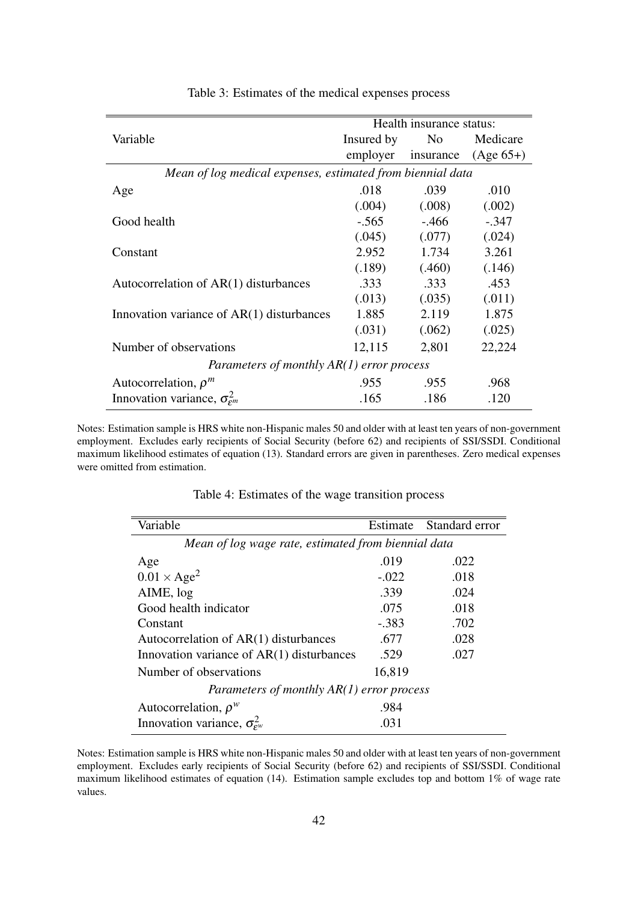|                                                            | Health insurance status: |                |             |  |
|------------------------------------------------------------|--------------------------|----------------|-------------|--|
| Variable                                                   | Insured by               | N <sub>0</sub> | Medicare    |  |
|                                                            | employer                 | insurance      | $(Age 65+)$ |  |
| Mean of log medical expenses, estimated from biennial data |                          |                |             |  |
| Age                                                        | .018                     | .039           | .010        |  |
|                                                            | (.004)                   | (.008)         | (.002)      |  |
| Good health                                                | $-.565$                  | $-0.466$       | $-.347$     |  |
|                                                            | (.045)                   | (.077)         | (.024)      |  |
| Constant                                                   | 2.952                    | 1.734          | 3.261       |  |
|                                                            | (.189)                   | (.460)         | (.146)      |  |
| Autocorrelation of AR(1) disturbances                      | .333                     | .333           | .453        |  |
|                                                            | (.013)                   | (.035)         | (.011)      |  |
| Innovation variance of AR(1) disturbances                  | 1.885                    | 2.119          | 1.875       |  |
|                                                            | (.031)                   | (.062)         | (.025)      |  |
| Number of observations                                     | 12,115                   | 2,801          | 22,224      |  |
| Parameters of monthly $AR(1)$ error process                |                          |                |             |  |
| Autocorrelation, $\rho^m$                                  | .955                     | .955           | .968        |  |
| Innovation variance, $\sigma_{\epsilon m}^2$               | .165                     | .186           | .120        |  |

<span id="page-42-0"></span>Table 3: Estimates of the medical expenses process

Notes: Estimation sample is HRS white non-Hispanic males 50 and older with at least ten years of non-government employment. Excludes early recipients of Social Security (before 62) and recipients of SSI/SSDI. Conditional maximum likelihood estimates of equation [\(13\)](#page-16-1). Standard errors are given in parentheses. Zero medical expenses were omitted from estimation.

| Estimate                                            | Standard error |  |  |  |
|-----------------------------------------------------|----------------|--|--|--|
| Mean of log wage rate, estimated from biennial data |                |  |  |  |
| .019                                                | .022           |  |  |  |
| $-.022$                                             | .018           |  |  |  |
| .339                                                | .024           |  |  |  |
| .075                                                | .018           |  |  |  |
| $-.383$                                             | .702           |  |  |  |
| .677                                                | .028           |  |  |  |
| .529                                                | .027           |  |  |  |
| 16,819                                              |                |  |  |  |
| Parameters of monthly $AR(1)$ error process         |                |  |  |  |
| .984                                                |                |  |  |  |
| .031                                                |                |  |  |  |
|                                                     |                |  |  |  |

<span id="page-42-1"></span>Table 4: Estimates of the wage transition process

Notes: Estimation sample is HRS white non-Hispanic males 50 and older with at least ten years of non-government employment. Excludes early recipients of Social Security (before 62) and recipients of SSI/SSDI. Conditional maximum likelihood estimates of equation [\(14\)](#page-16-3). Estimation sample excludes top and bottom 1% of wage rate values.